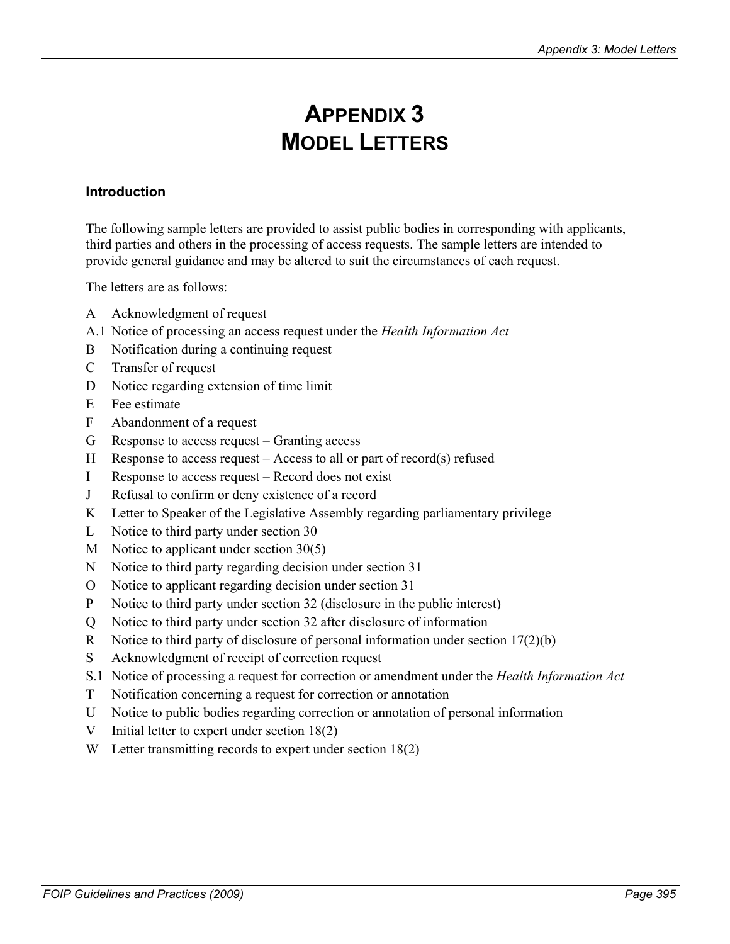# **APPENDIX 3 MODEL LETTERS**

## **Introduction**

The following sample letters are provided to assist public bodies in corresponding with applicants, third parties and others in the processing of access requests. The sample letters are intended to provide general guidance and may be altered to suit the circumstances of each request.

The letters are as follows:

- A Acknowledgment of request
- A.1 Notice of processing an access request under the *Health Information Act*
- B Notification during a continuing request
- C Transfer of request
- D Notice regarding extension of time limit
- E Fee estimate
- F Abandonment of a request
- G Response to access request Granting access
- H Response to access request Access to all or part of record(s) refused
- I Response to access request Record does not exist
- J Refusal to confirm or deny existence of a record
- K Letter to Speaker of the Legislative Assembly regarding parliamentary privilege
- L Notice to third party under section 30
- M Notice to applicant under section 30(5)
- N Notice to third party regarding decision under section 31
- O Notice to applicant regarding decision under section 31
- P Notice to third party under section 32 (disclosure in the public interest)
- Q Notice to third party under section 32 after disclosure of information
- R Notice to third party of disclosure of personal information under section 17(2)(b)
- S Acknowledgment of receipt of correction request
- S.1 Notice of processing a request for correction or amendment under the *Health Information Act*
- T Notification concerning a request for correction or annotation
- U Notice to public bodies regarding correction or annotation of personal information
- V Initial letter to expert under section 18(2)
- W Letter transmitting records to expert under section 18(2)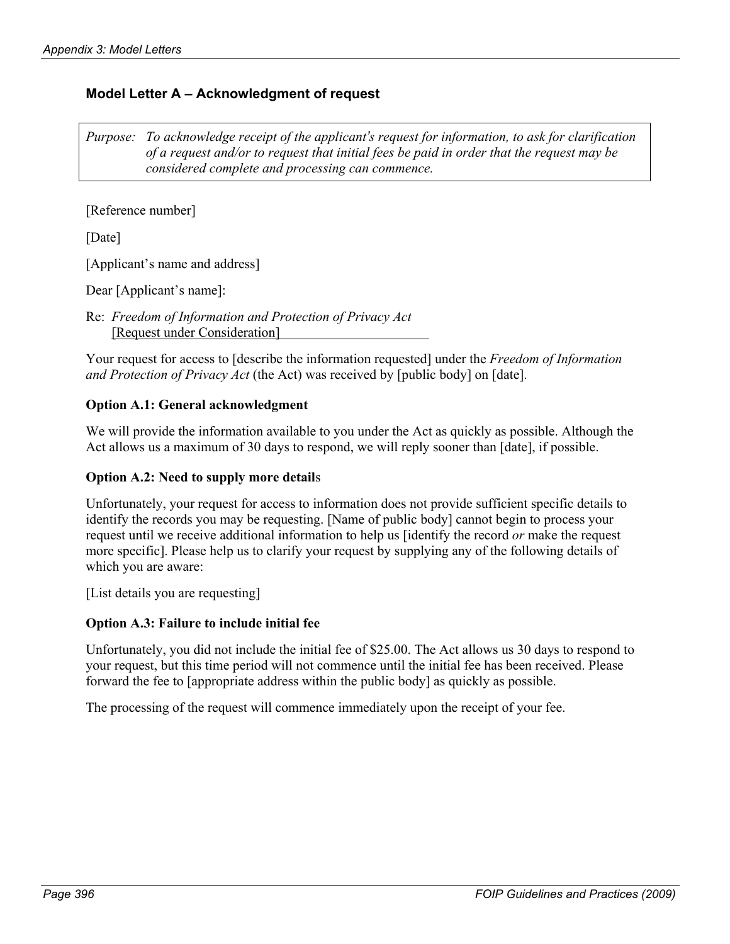# **Model Letter A – Acknowledgment of request**

*Purpose: To acknowledge receipt of the applicant's request for information, to ask for clarification of a request and/or to request that initial fees be paid in order that the request may be considered complete and processing can commence.* 

[Reference number]

[Date]

[Applicant's name and address]

Dear [Applicant's name]:

Re: *Freedom of Information and Protection of Privacy Act* [Request under Consideration]

Your request for access to [describe the information requested] under the *Freedom of Information and Protection of Privacy Act* (the Act) was received by [public body] on [date].

## **Option A.1: General acknowledgment**

We will provide the information available to you under the Act as quickly as possible. Although the Act allows us a maximum of 30 days to respond, we will reply sooner than [date], if possible.

## **Option A.2: Need to supply more detail**s

Unfortunately, your request for access to information does not provide sufficient specific details to identify the records you may be requesting. [Name of public body] cannot begin to process your request until we receive additional information to help us [identify the record *or* make the request more specific]. Please help us to clarify your request by supplying any of the following details of which you are aware:

[List details you are requesting]

## **Option A.3: Failure to include initial fee**

Unfortunately, you did not include the initial fee of \$25.00. The Act allows us 30 days to respond to your request, but this time period will not commence until the initial fee has been received. Please forward the fee to [appropriate address within the public body] as quickly as possible.

The processing of the request will commence immediately upon the receipt of your fee.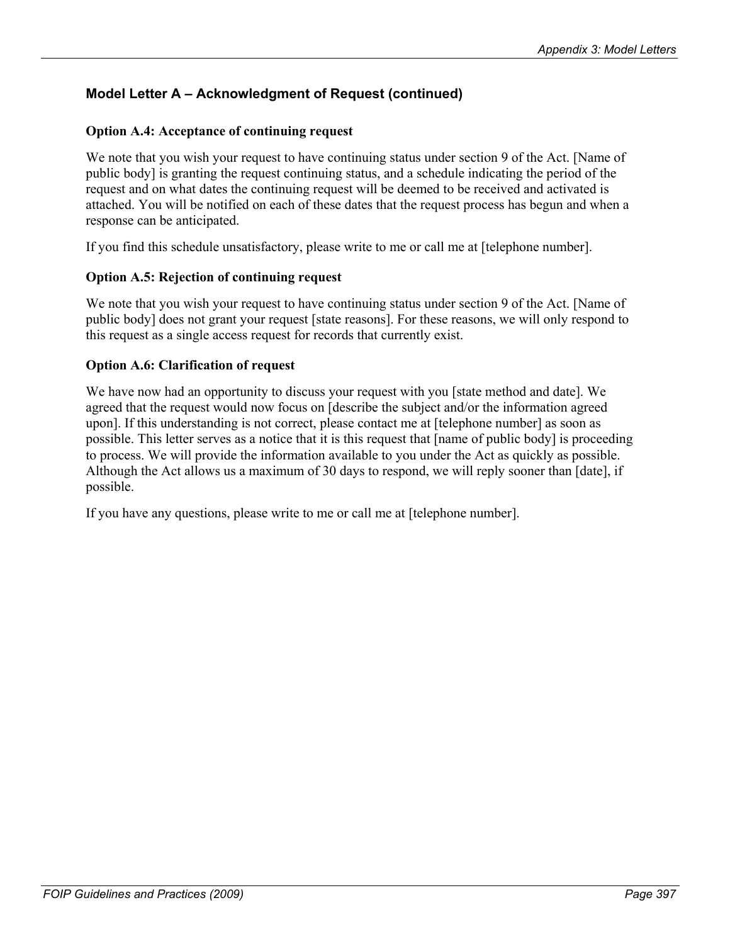# **Model Letter A – Acknowledgment of Request (continued)**

## **Option A.4: Acceptance of continuing request**

We note that you wish your request to have continuing status under section 9 of the Act. [Name of public body] is granting the request continuing status, and a schedule indicating the period of the request and on what dates the continuing request will be deemed to be received and activated is attached. You will be notified on each of these dates that the request process has begun and when a response can be anticipated.

If you find this schedule unsatisfactory, please write to me or call me at [telephone number].

## **Option A.5: Rejection of continuing request**

We note that you wish your request to have continuing status under section 9 of the Act. [Name of public body] does not grant your request [state reasons]. For these reasons, we will only respond to this request as a single access request for records that currently exist.

## **Option A.6: Clarification of request**

We have now had an opportunity to discuss your request with you [state method and date]. We agreed that the request would now focus on [describe the subject and/or the information agreed upon]. If this understanding is not correct, please contact me at [telephone number] as soon as possible. This letter serves as a notice that it is this request that [name of public body] is proceeding to process. We will provide the information available to you under the Act as quickly as possible. Although the Act allows us a maximum of 30 days to respond, we will reply sooner than [date], if possible.

If you have any questions, please write to me or call me at [telephone number].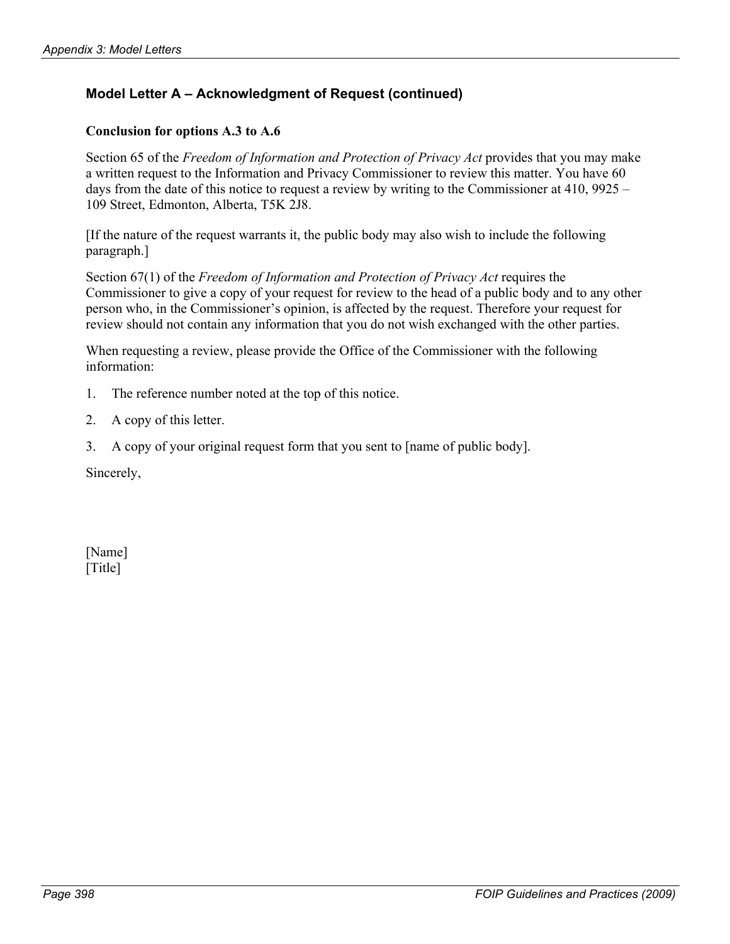# **Model Letter A – Acknowledgment of Request (continued)**

## **Conclusion for options A.3 to A.6**

Section 65 of the *Freedom of Information and Protection of Privacy Act* provides that you may make a written request to the Information and Privacy Commissioner to review this matter. You have 60 days from the date of this notice to request a review by writing to the Commissioner at 410, 9925 – 109 Street, Edmonton, Alberta, T5K 2J8.

[If the nature of the request warrants it, the public body may also wish to include the following paragraph.]

Section 67(1) of the *Freedom of Information and Protection of Privacy Act* requires the Commissioner to give a copy of your request for review to the head of a public body and to any other person who, in the Commissioner's opinion, is affected by the request. Therefore your request for review should not contain any information that you do not wish exchanged with the other parties.

When requesting a review, please provide the Office of the Commissioner with the following information:

- 1. The reference number noted at the top of this notice.
- 2. A copy of this letter.
- 3. A copy of your original request form that you sent to [name of public body].

Sincerely,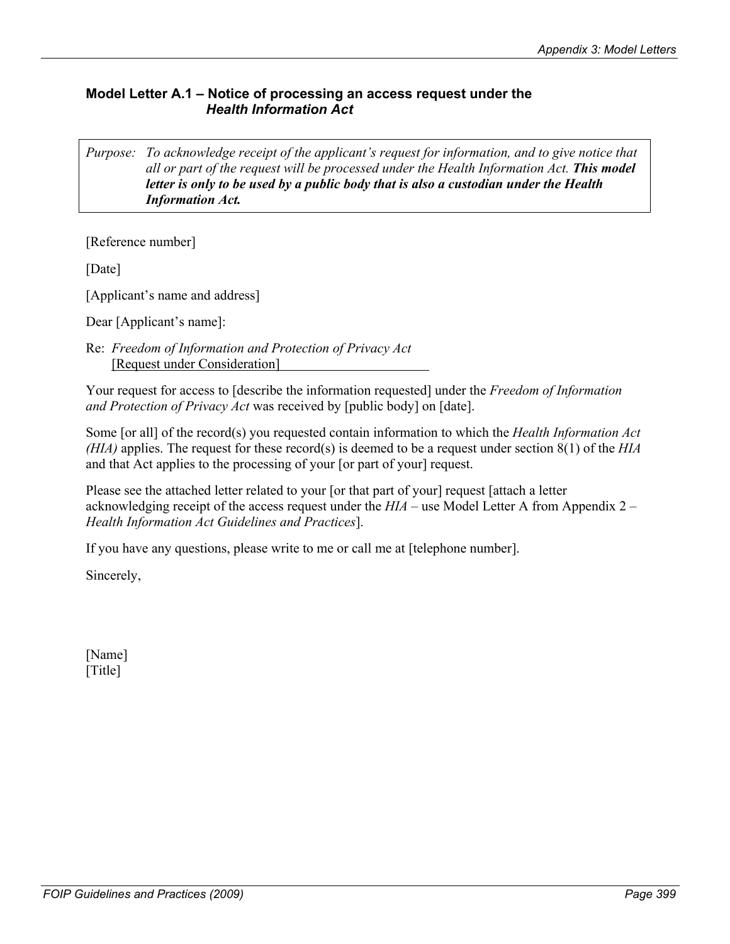## **Model Letter A.1 – Notice of processing an access request under the**  *Health Information Act*

*Purpose: To acknowledge receipt of the applicant's request for information, and to give notice that all or part of the request will be processed under the Health Information Act. This model letter is only to be used by a public body that is also a custodian under the Health Information Act.*

[Reference number]

[Date]

[Applicant's name and address]

Dear [Applicant's name]:

Re: *Freedom of Information and Protection of Privacy Act*  [Request under Consideration]

Your request for access to [describe the information requested] under the *Freedom of Information and Protection of Privacy Act* was received by [public body] on [date].

Some [or all] of the record(s) you requested contain information to which the *Health Information Act (HIA)* applies. The request for these record(s) is deemed to be a request under section 8(1) of the *HIA* and that Act applies to the processing of your [or part of your] request.

Please see the attached letter related to your [or that part of your] request [attach a letter acknowledging receipt of the access request under the *HIA* – use Model Letter A from Appendix 2 – *Health Information Act Guidelines and Practices*].

If you have any questions, please write to me or call me at [telephone number].

Sincerely,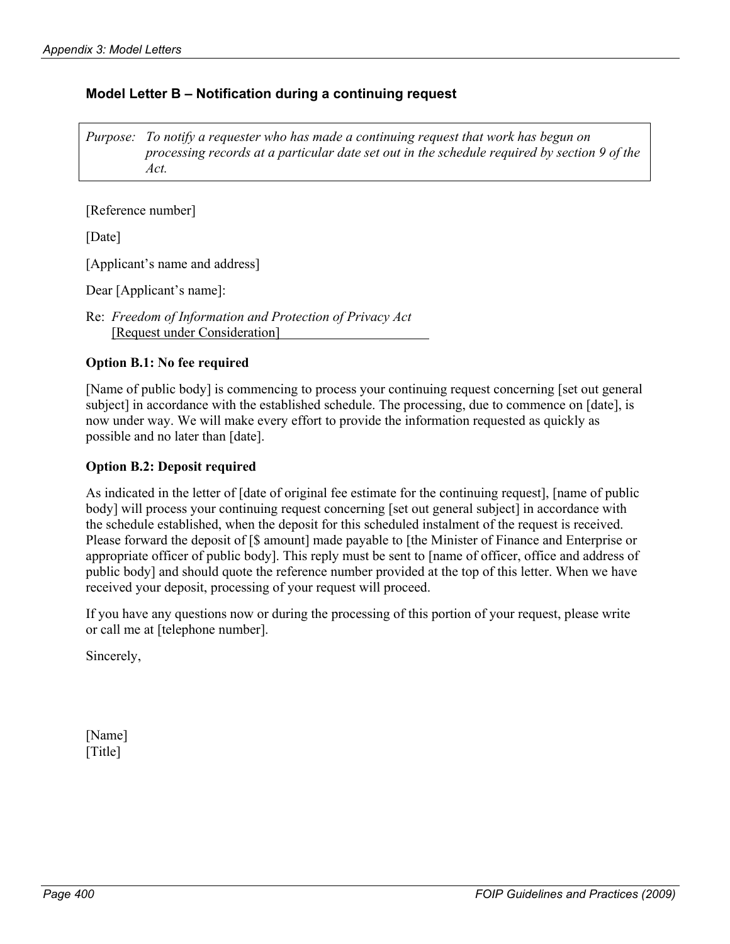## **Model Letter B – Notification during a continuing request**

*Purpose: To notify a requester who has made a continuing request that work has begun on processing records at a particular date set out in the schedule required by section 9 of the Act.* 

[Reference number]

[Date]

[Applicant's name and address]

Dear [Applicant's name]:

Re: *Freedom of Information and Protection of Privacy Act* [Request under Consideration]

#### **Option B.1: No fee required**

[Name of public body] is commencing to process your continuing request concerning [set out general subject] in accordance with the established schedule. The processing, due to commence on [date], is now under way. We will make every effort to provide the information requested as quickly as possible and no later than [date].

#### **Option B.2: Deposit required**

As indicated in the letter of [date of original fee estimate for the continuing request], [name of public body] will process your continuing request concerning [set out general subject] in accordance with the schedule established, when the deposit for this scheduled instalment of the request is received. Please forward the deposit of [\$ amount] made payable to [the Minister of Finance and Enterprise or appropriate officer of public body]. This reply must be sent to [name of officer, office and address of public body] and should quote the reference number provided at the top of this letter. When we have received your deposit, processing of your request will proceed.

If you have any questions now or during the processing of this portion of your request, please write or call me at [telephone number].

Sincerely,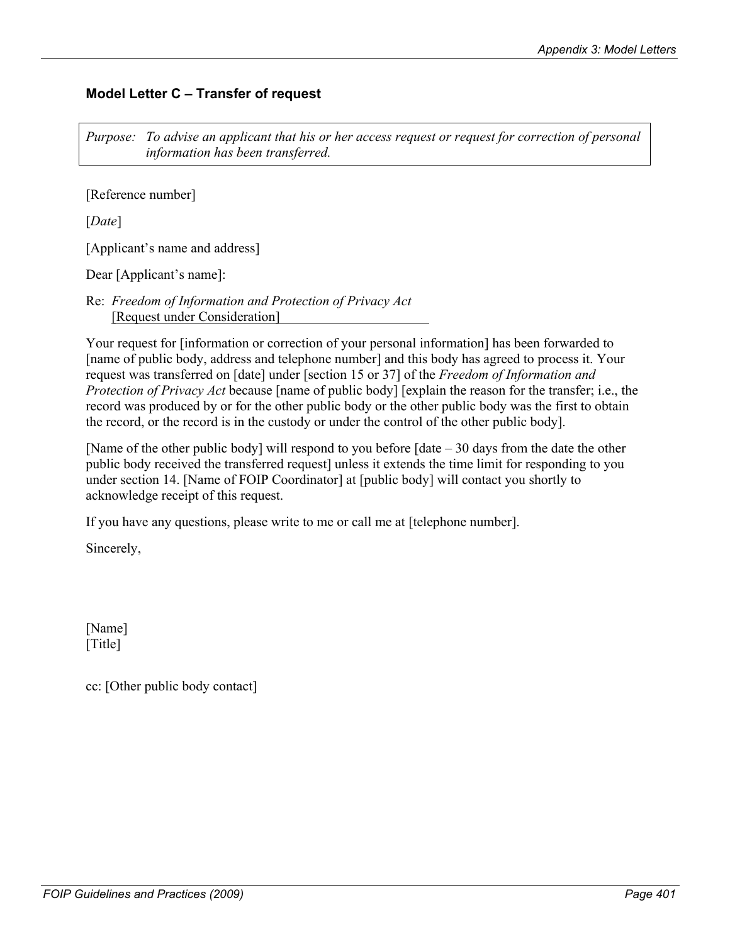# **Model Letter C – Transfer of request**

*Purpose: To advise an applicant that his or her access request or request for correction of personal information has been transferred.* 

[Reference number]

[*Date*]

[Applicant's name and address]

Dear [Applicant's name]:

Re: *Freedom of Information and Protection of Privacy Act* [Request under Consideration]

Your request for [information or correction of your personal information] has been forwarded to [name of public body, address and telephone number] and this body has agreed to process it. Your request was transferred on [date] under [section 15 or 37] of the *Freedom of Information and Protection of Privacy Act* because [name of public body] [explain the reason for the transfer; i.e., the record was produced by or for the other public body or the other public body was the first to obtain the record, or the record is in the custody or under the control of the other public body].

[Name of the other public body] will respond to you before  $\lceil \text{date} - 30 \text{ days} \rceil$  from the date the other public body received the transferred request] unless it extends the time limit for responding to you under section 14. [Name of FOIP Coordinator] at [public body] will contact you shortly to acknowledge receipt of this request.

If you have any questions, please write to me or call me at [telephone number].

Sincerely,

[Name] [Title]

cc: [Other public body contact]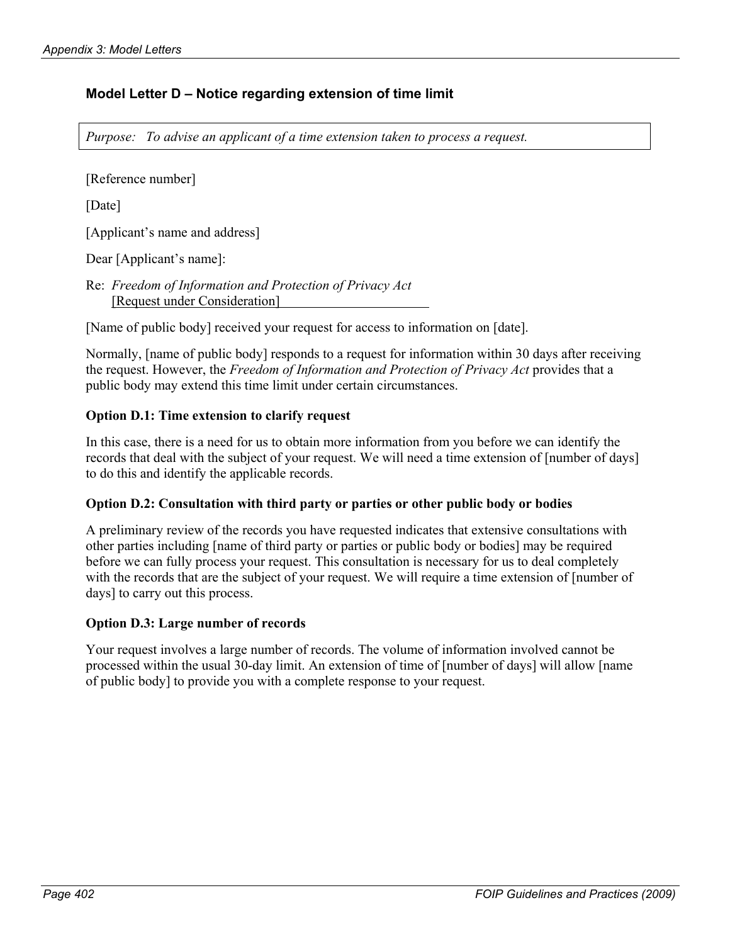# **Model Letter D – Notice regarding extension of time limit**

*Purpose: To advise an applicant of a time extension taken to process a request.* 

[Reference number]

[Date]

[Applicant's name and address]

Dear [Applicant's name]:

Re: *Freedom of Information and Protection of Privacy Act* [Request under Consideration]

[Name of public body] received your request for access to information on [date].

Normally, [name of public body] responds to a request for information within 30 days after receiving the request. However, the *Freedom of Information and Protection of Privacy Act* provides that a public body may extend this time limit under certain circumstances.

## **Option D.1: Time extension to clarify request**

In this case, there is a need for us to obtain more information from you before we can identify the records that deal with the subject of your request. We will need a time extension of [number of days] to do this and identify the applicable records.

#### **Option D.2: Consultation with third party or parties or other public body or bodies**

A preliminary review of the records you have requested indicates that extensive consultations with other parties including [name of third party or parties or public body or bodies] may be required before we can fully process your request. This consultation is necessary for us to deal completely with the records that are the subject of your request. We will require a time extension of [number of days] to carry out this process.

#### **Option D.3: Large number of records**

Your request involves a large number of records. The volume of information involved cannot be processed within the usual 30-day limit. An extension of time of [number of days] will allow [name of public body] to provide you with a complete response to your request.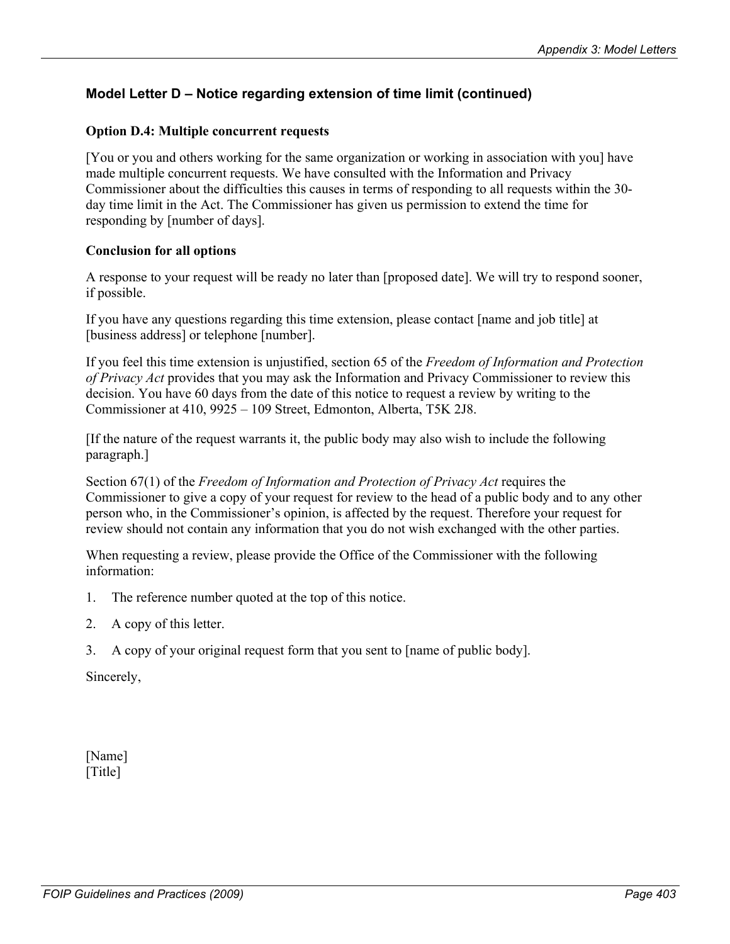# **Model Letter D – Notice regarding extension of time limit (continued)**

#### **Option D.4: Multiple concurrent requests**

[You or you and others working for the same organization or working in association with you] have made multiple concurrent requests. We have consulted with the Information and Privacy Commissioner about the difficulties this causes in terms of responding to all requests within the 30 day time limit in the Act. The Commissioner has given us permission to extend the time for responding by [number of days].

#### **Conclusion for all options**

A response to your request will be ready no later than [proposed date]. We will try to respond sooner, if possible.

If you have any questions regarding this time extension, please contact [name and job title] at [business address] or telephone [number].

If you feel this time extension is unjustified, section 65 of the *Freedom of Information and Protection of Privacy Act* provides that you may ask the Information and Privacy Commissioner to review this decision. You have 60 days from the date of this notice to request a review by writing to the Commissioner at 410, 9925 – 109 Street, Edmonton, Alberta, T5K 2J8.

[If the nature of the request warrants it, the public body may also wish to include the following paragraph.]

Section 67(1) of the *Freedom of Information and Protection of Privacy Act* requires the Commissioner to give a copy of your request for review to the head of a public body and to any other person who, in the Commissioner's opinion, is affected by the request. Therefore your request for review should not contain any information that you do not wish exchanged with the other parties.

When requesting a review, please provide the Office of the Commissioner with the following information:

- 1. The reference number quoted at the top of this notice.
- 2. A copy of this letter.
- 3. A copy of your original request form that you sent to [name of public body].

Sincerely,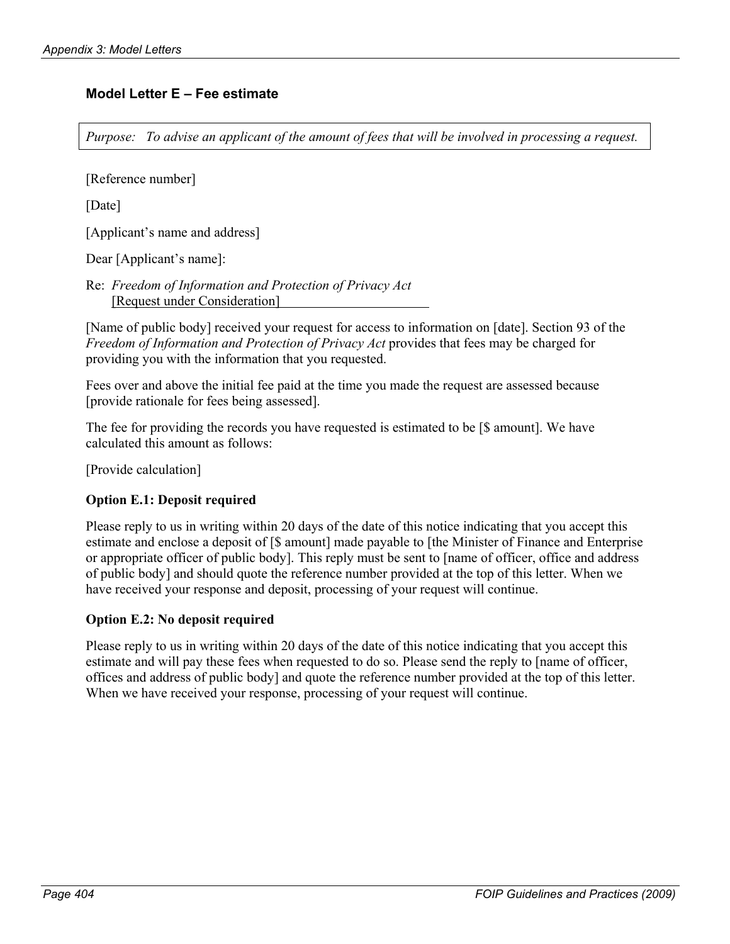## **Model Letter E – Fee estimate**

*Purpose: To advise an applicant of the amount of fees that will be involved in processing a request.* 

[Reference number]

[Date]

[Applicant's name and address]

Dear [Applicant's name]:

Re: *Freedom of Information and Protection of Privacy Act*  [Request under Consideration]

[Name of public body] received your request for access to information on [date]. Section 93 of the *Freedom of Information and Protection of Privacy Act* provides that fees may be charged for providing you with the information that you requested.

Fees over and above the initial fee paid at the time you made the request are assessed because [provide rationale for fees being assessed].

The fee for providing the records you have requested is estimated to be [\$ amount]. We have calculated this amount as follows:

[Provide calculation]

## **Option E.1: Deposit required**

Please reply to us in writing within 20 days of the date of this notice indicating that you accept this estimate and enclose a deposit of [\$ amount] made payable to [the Minister of Finance and Enterprise or appropriate officer of public body]. This reply must be sent to [name of officer, office and address of public body] and should quote the reference number provided at the top of this letter. When we have received your response and deposit, processing of your request will continue.

## **Option E.2: No deposit required**

Please reply to us in writing within 20 days of the date of this notice indicating that you accept this estimate and will pay these fees when requested to do so. Please send the reply to [name of officer, offices and address of public body] and quote the reference number provided at the top of this letter. When we have received your response, processing of your request will continue.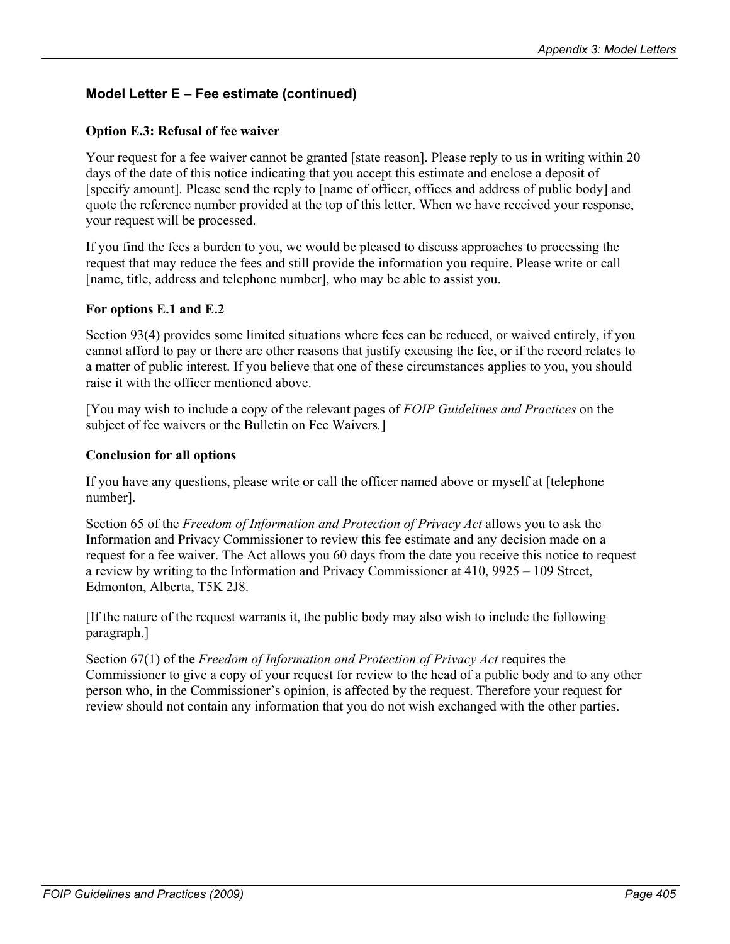# **Model Letter E – Fee estimate (continued)**

## **Option E.3: Refusal of fee waiver**

Your request for a fee waiver cannot be granted [state reason]. Please reply to us in writing within 20 days of the date of this notice indicating that you accept this estimate and enclose a deposit of [specify amount]. Please send the reply to [name of officer, offices and address of public body] and quote the reference number provided at the top of this letter. When we have received your response, your request will be processed.

If you find the fees a burden to you, we would be pleased to discuss approaches to processing the request that may reduce the fees and still provide the information you require. Please write or call [name, title, address and telephone number], who may be able to assist you.

#### **For options E.1 and E.2**

Section 93(4) provides some limited situations where fees can be reduced, or waived entirely, if you cannot afford to pay or there are other reasons that justify excusing the fee, or if the record relates to a matter of public interest. If you believe that one of these circumstances applies to you, you should raise it with the officer mentioned above.

[You may wish to include a copy of the relevant pages of *FOIP Guidelines and Practices* on the subject of fee waivers or the Bulletin on Fee Waivers*.*]

#### **Conclusion for all options**

If you have any questions, please write or call the officer named above or myself at [telephone number].

Section 65 of the *Freedom of Information and Protection of Privacy Act* allows you to ask the Information and Privacy Commissioner to review this fee estimate and any decision made on a request for a fee waiver. The Act allows you 60 days from the date you receive this notice to request a review by writing to the Information and Privacy Commissioner at 410, 9925 – 109 Street, Edmonton, Alberta, T5K 2J8.

[If the nature of the request warrants it, the public body may also wish to include the following paragraph.]

Section 67(1) of the *Freedom of Information and Protection of Privacy Act* requires the Commissioner to give a copy of your request for review to the head of a public body and to any other person who, in the Commissioner's opinion, is affected by the request. Therefore your request for review should not contain any information that you do not wish exchanged with the other parties.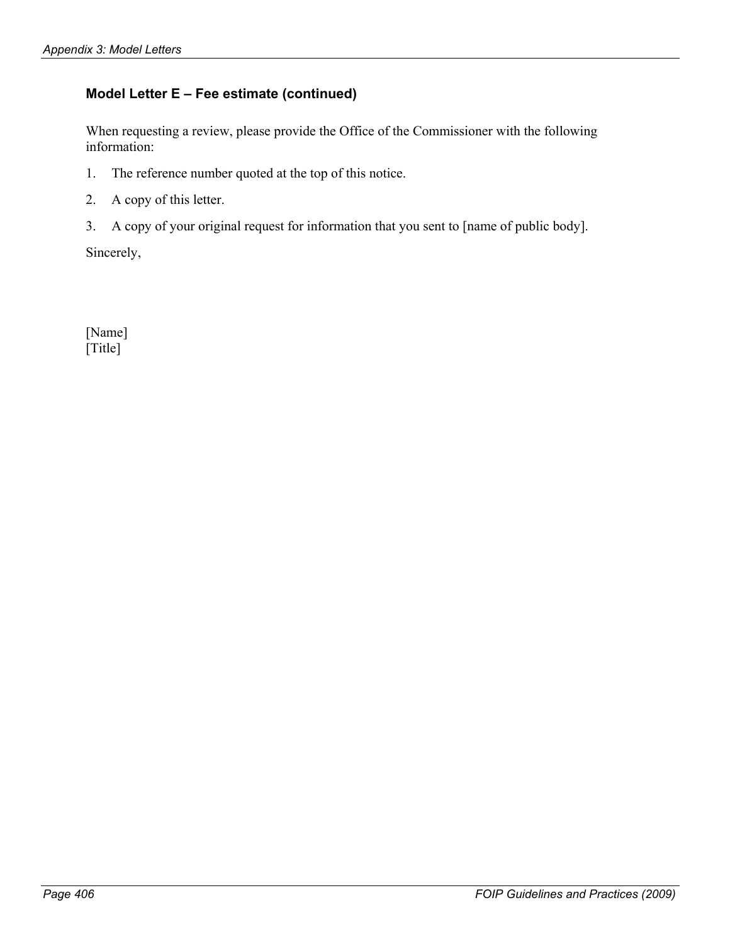# **Model Letter E – Fee estimate (continued)**

When requesting a review, please provide the Office of the Commissioner with the following information:

- 1. The reference number quoted at the top of this notice.
- 2. A copy of this letter.
- 3. A copy of your original request for information that you sent to [name of public body].

Sincerely,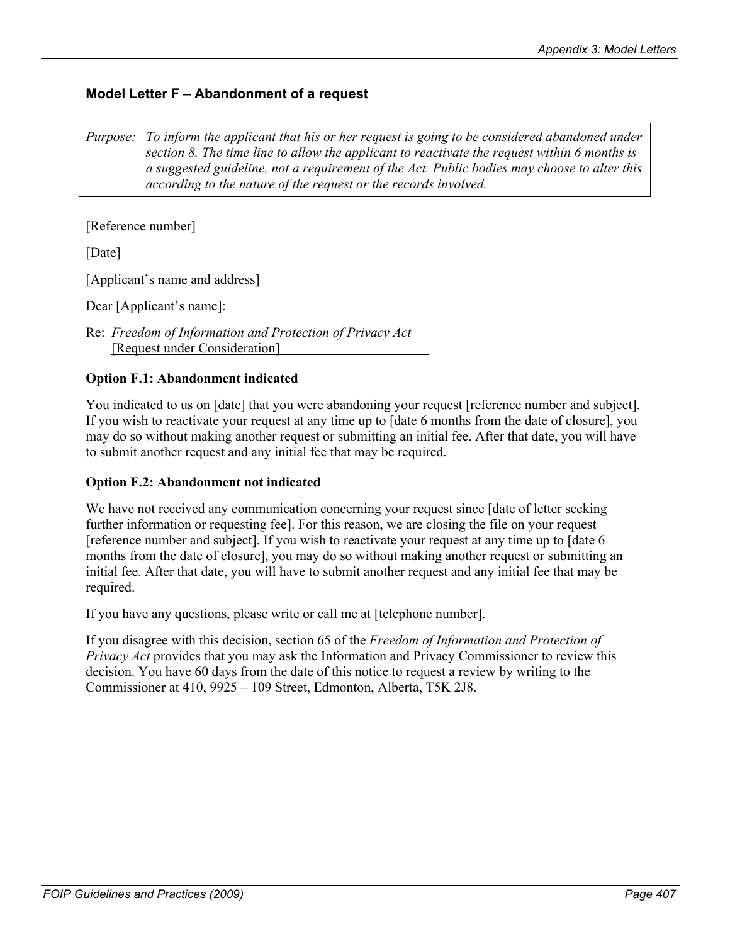# **Model Letter F – Abandonment of a request**

*Purpose: To inform the applicant that his or her request is going to be considered abandoned under section 8. The time line to allow the applicant to reactivate the request within 6 months is a suggested guideline, not a requirement of the Act. Public bodies may choose to alter this according to the nature of the request or the records involved.* 

[Reference number]

[Date]

[Applicant's name and address]

Dear [Applicant's name]:

Re: *Freedom of Information and Protection of Privacy Act*  [Request under Consideration]

## **Option F.1: Abandonment indicated**

You indicated to us on [date] that you were abandoning your request [reference number and subject]. If you wish to reactivate your request at any time up to [date 6 months from the date of closure], you may do so without making another request or submitting an initial fee. After that date, you will have to submit another request and any initial fee that may be required.

#### **Option F.2: Abandonment not indicated**

We have not received any communication concerning your request since [date of letter seeking] further information or requesting fee]. For this reason, we are closing the file on your request [reference number and subject]. If you wish to reactivate your request at any time up to [date 6 months from the date of closure], you may do so without making another request or submitting an initial fee. After that date, you will have to submit another request and any initial fee that may be required.

If you have any questions, please write or call me at [telephone number].

If you disagree with this decision, section 65 of the *Freedom of Information and Protection of Privacy Act* provides that you may ask the Information and Privacy Commissioner to review this decision. You have 60 days from the date of this notice to request a review by writing to the Commissioner at 410, 9925 – 109 Street, Edmonton, Alberta, T5K 2J8.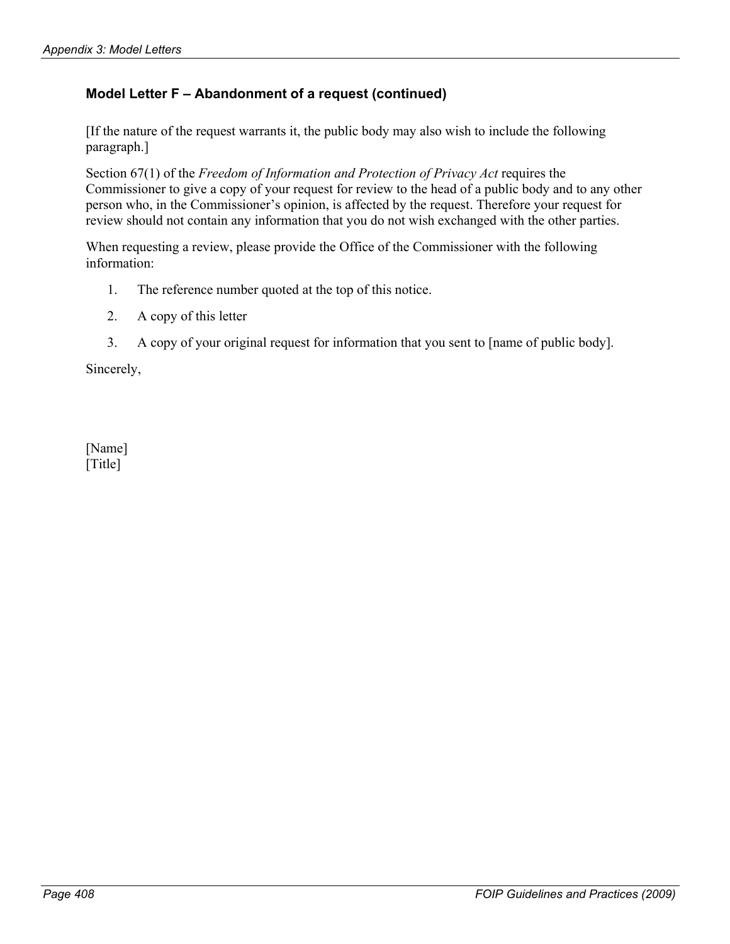# **Model Letter F – Abandonment of a request (continued)**

[If the nature of the request warrants it, the public body may also wish to include the following paragraph.]

Section 67(1) of the *Freedom of Information and Protection of Privacy Act* requires the Commissioner to give a copy of your request for review to the head of a public body and to any other person who, in the Commissioner's opinion, is affected by the request. Therefore your request for review should not contain any information that you do not wish exchanged with the other parties.

When requesting a review, please provide the Office of the Commissioner with the following information:

- 1. The reference number quoted at the top of this notice.
- 2. A copy of this letter
- 3. A copy of your original request for information that you sent to [name of public body].

Sincerely,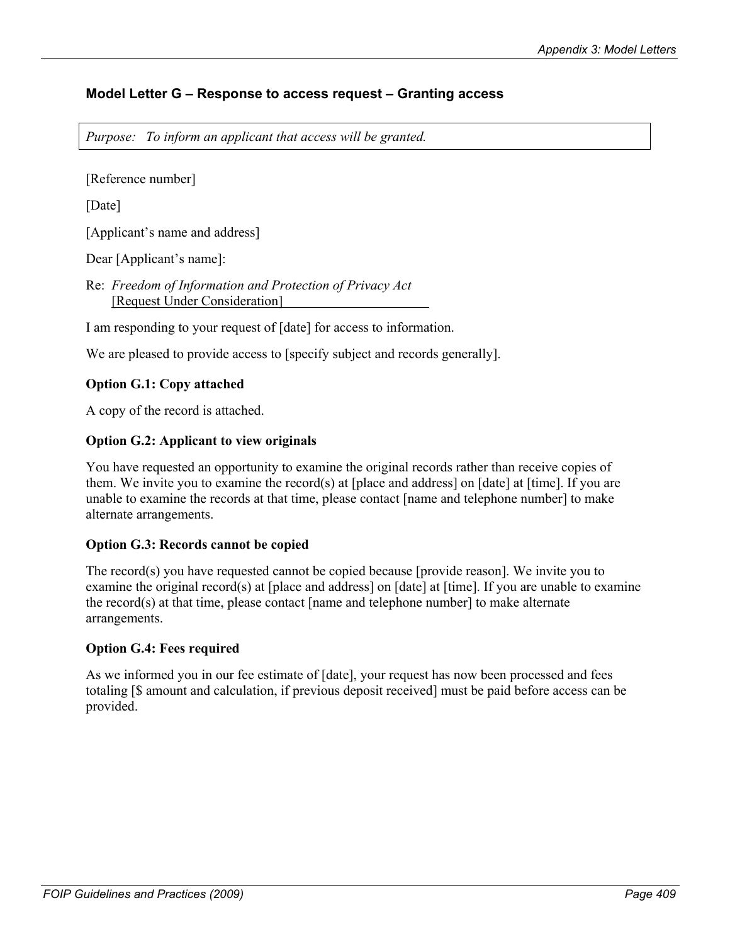# **Model Letter G – Response to access request – Granting access**

*Purpose: To inform an applicant that access will be granted.* 

[Reference number]

[Date]

[Applicant's name and address]

Dear [Applicant's name]:

Re: *Freedom of Information and Protection of Privacy Act* [Request Under Consideration]

I am responding to your request of [date] for access to information.

We are pleased to provide access to [specify subject and records generally].

## **Option G.1: Copy attached**

A copy of the record is attached.

## **Option G.2: Applicant to view originals**

You have requested an opportunity to examine the original records rather than receive copies of them. We invite you to examine the record(s) at [place and address] on [date] at [time]. If you are unable to examine the records at that time, please contact [name and telephone number] to make alternate arrangements.

## **Option G.3: Records cannot be copied**

The record(s) you have requested cannot be copied because [provide reason]. We invite you to examine the original record(s) at [place and address] on [date] at [time]. If you are unable to examine the record(s) at that time, please contact [name and telephone number] to make alternate arrangements.

#### **Option G.4: Fees required**

As we informed you in our fee estimate of [date], your request has now been processed and fees totaling [\$ amount and calculation, if previous deposit received] must be paid before access can be provided.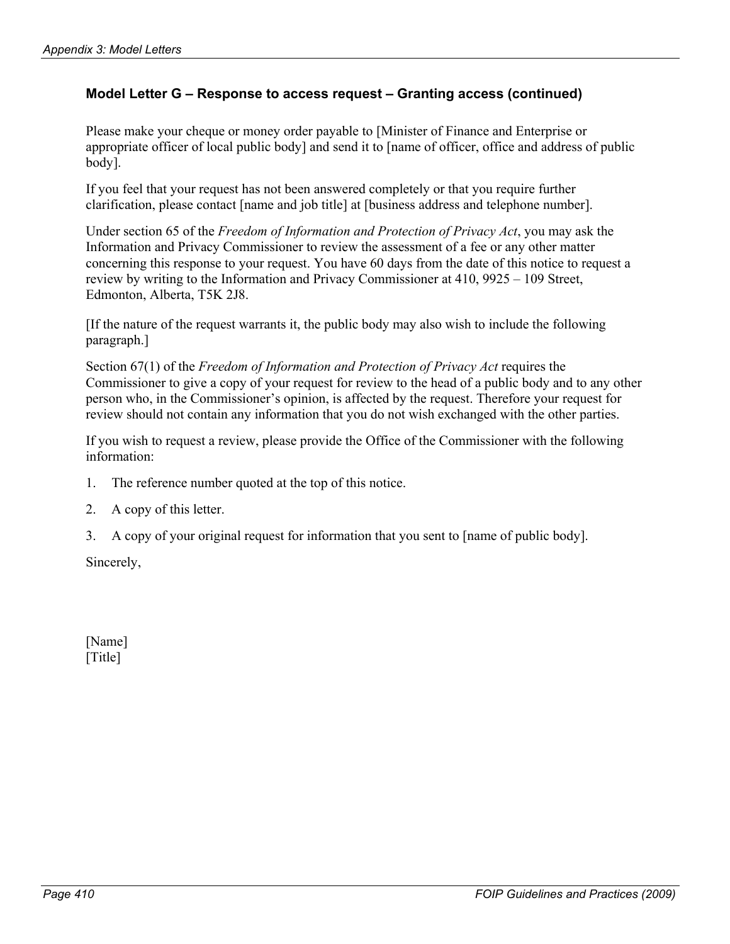## **Model Letter G – Response to access request – Granting access (continued)**

Please make your cheque or money order payable to [Minister of Finance and Enterprise or appropriate officer of local public body] and send it to [name of officer, office and address of public body].

If you feel that your request has not been answered completely or that you require further clarification, please contact [name and job title] at [business address and telephone number].

Under section 65 of the *Freedom of Information and Protection of Privacy Act*, you may ask the Information and Privacy Commissioner to review the assessment of a fee or any other matter concerning this response to your request. You have 60 days from the date of this notice to request a review by writing to the Information and Privacy Commissioner at 410, 9925 – 109 Street, Edmonton, Alberta, T5K 2J8.

[If the nature of the request warrants it, the public body may also wish to include the following paragraph.]

Section 67(1) of the *Freedom of Information and Protection of Privacy Act* requires the Commissioner to give a copy of your request for review to the head of a public body and to any other person who, in the Commissioner's opinion, is affected by the request. Therefore your request for review should not contain any information that you do not wish exchanged with the other parties.

If you wish to request a review, please provide the Office of the Commissioner with the following information:

- 1. The reference number quoted at the top of this notice.
- 2. A copy of this letter.
- 3. A copy of your original request for information that you sent to [name of public body].

Sincerely,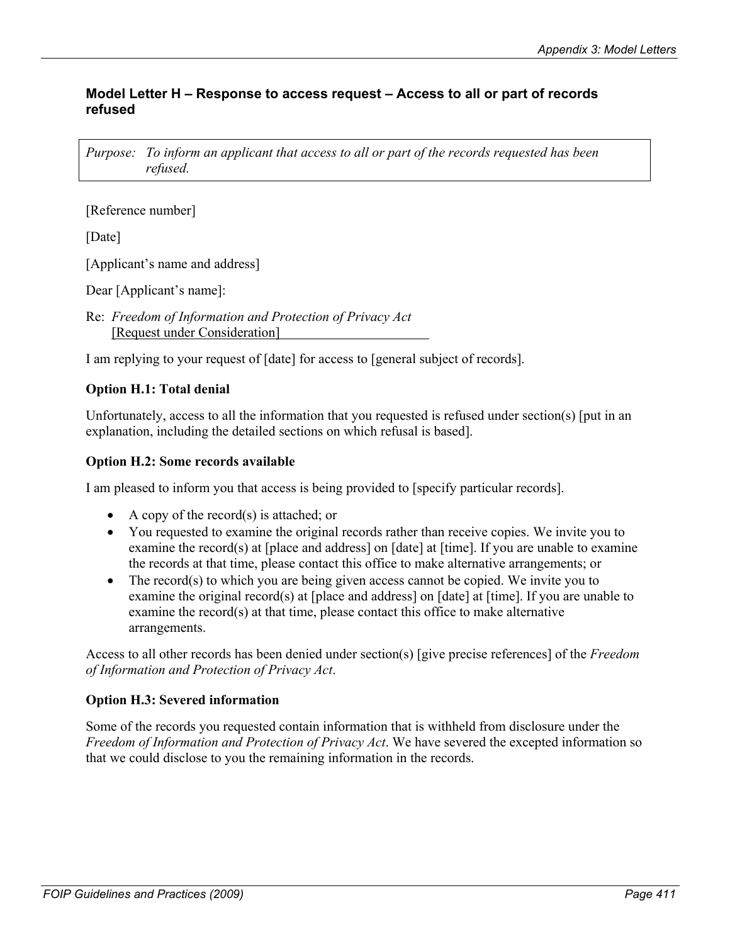## **Model Letter H – Response to access request – Access to all or part of records refused**

*Purpose: To inform an applicant that access to all or part of the records requested has been refused.* 

[Reference number]

[Date]

[Applicant's name and address]

Dear [Applicant's name]:

Re: *Freedom of Information and Protection of Privacy Act*  [Request under Consideration]

I am replying to your request of [date] for access to [general subject of records].

# **Option H.1: Total denial**

Unfortunately, access to all the information that you requested is refused under section(s) [put in an explanation, including the detailed sections on which refusal is based].

## **Option H.2: Some records available**

I am pleased to inform you that access is being provided to [specify particular records].

- A copy of the record(s) is attached; or
- You requested to examine the original records rather than receive copies. We invite you to examine the record(s) at [place and address] on [date] at [time]. If you are unable to examine the records at that time, please contact this office to make alternative arrangements; or
- The record(s) to which you are being given access cannot be copied. We invite you to examine the original record(s) at [place and address] on [date] at [time]. If you are unable to examine the record(s) at that time, please contact this office to make alternative arrangements.

Access to all other records has been denied under section(s) [give precise references] of the *Freedom of Information and Protection of Privacy Act*.

## **Option H.3: Severed information**

Some of the records you requested contain information that is withheld from disclosure under the *Freedom of Information and Protection of Privacy Act*. We have severed the excepted information so that we could disclose to you the remaining information in the records.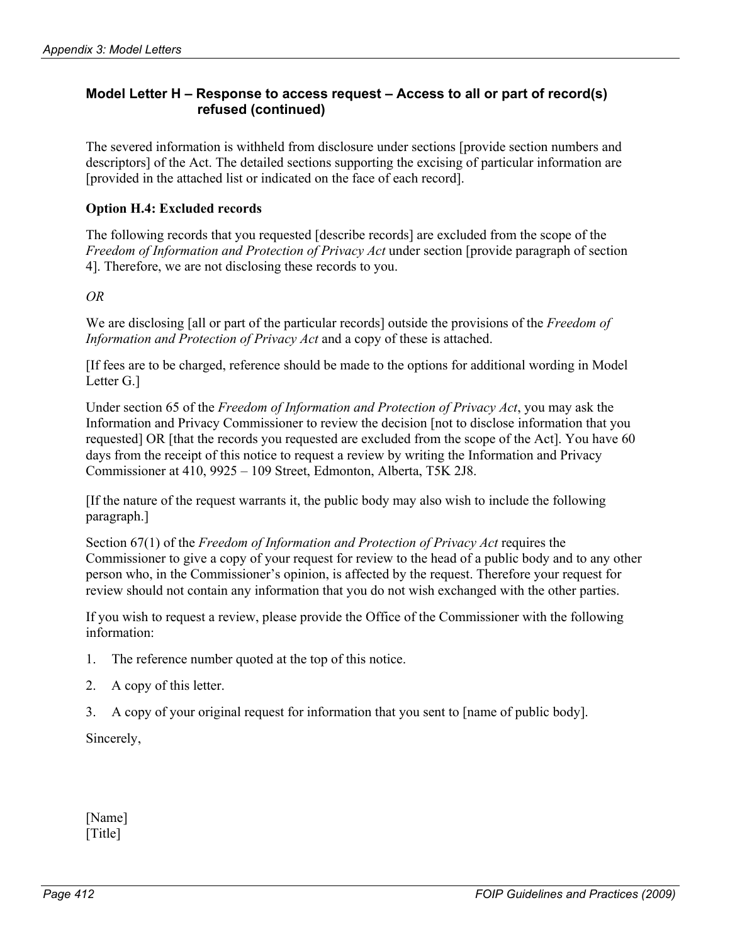# **Model Letter H – Response to access request – Access to all or part of record(s) refused (continued)**

The severed information is withheld from disclosure under sections [provide section numbers and descriptors] of the Act. The detailed sections supporting the excising of particular information are [provided in the attached list or indicated on the face of each record].

## **Option H.4: Excluded records**

The following records that you requested [describe records] are excluded from the scope of the *Freedom of Information and Protection of Privacy Act* under section [provide paragraph of section 4]. Therefore, we are not disclosing these records to you.

*OR* 

We are disclosing [all or part of the particular records] outside the provisions of the *Freedom of Information and Protection of Privacy Act* and a copy of these is attached.

[If fees are to be charged, reference should be made to the options for additional wording in Model Letter G.]

Under section 65 of the *Freedom of Information and Protection of Privacy Act*, you may ask the Information and Privacy Commissioner to review the decision [not to disclose information that you requested] OR [that the records you requested are excluded from the scope of the Act]. You have 60 days from the receipt of this notice to request a review by writing the Information and Privacy Commissioner at 410, 9925 – 109 Street, Edmonton, Alberta, T5K 2J8.

[If the nature of the request warrants it, the public body may also wish to include the following paragraph.]

Section 67(1) of the *Freedom of Information and Protection of Privacy Act* requires the Commissioner to give a copy of your request for review to the head of a public body and to any other person who, in the Commissioner's opinion, is affected by the request. Therefore your request for review should not contain any information that you do not wish exchanged with the other parties.

If you wish to request a review, please provide the Office of the Commissioner with the following information:

- 1. The reference number quoted at the top of this notice.
- 2. A copy of this letter.
- 3. A copy of your original request for information that you sent to [name of public body].

Sincerely,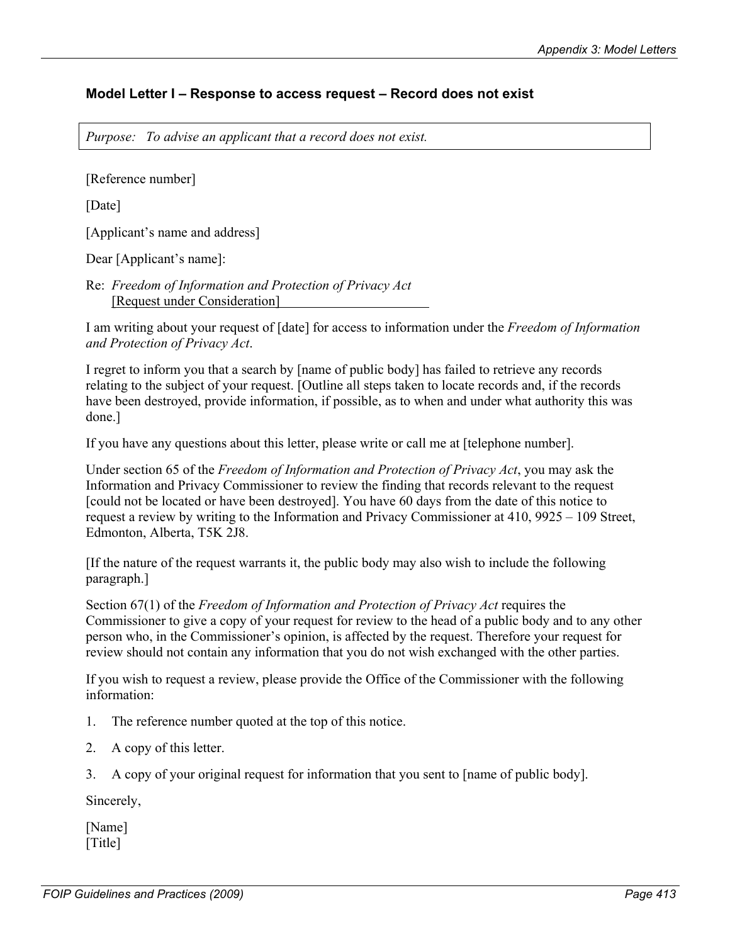## **Model Letter I – Response to access request – Record does not exist**

*Purpose: To advise an applicant that a record does not exist.* 

[Reference number]

[Date]

[Applicant's name and address]

Dear [Applicant's name]:

Re: *Freedom of Information and Protection of Privacy Act*  [Request under Consideration]

I am writing about your request of [date] for access to information under the *Freedom of Information and Protection of Privacy Act*.

I regret to inform you that a search by [name of public body] has failed to retrieve any records relating to the subject of your request. [Outline all steps taken to locate records and, if the records have been destroyed, provide information, if possible, as to when and under what authority this was done.]

If you have any questions about this letter, please write or call me at [telephone number].

Under section 65 of the *Freedom of Information and Protection of Privacy Act*, you may ask the Information and Privacy Commissioner to review the finding that records relevant to the request [could not be located or have been destroyed]. You have 60 days from the date of this notice to request a review by writing to the Information and Privacy Commissioner at 410, 9925 – 109 Street, Edmonton, Alberta, T5K 2J8.

[If the nature of the request warrants it, the public body may also wish to include the following paragraph.]

Section 67(1) of the *Freedom of Information and Protection of Privacy Act* requires the Commissioner to give a copy of your request for review to the head of a public body and to any other person who, in the Commissioner's opinion, is affected by the request. Therefore your request for review should not contain any information that you do not wish exchanged with the other parties.

If you wish to request a review, please provide the Office of the Commissioner with the following information:

1. The reference number quoted at the top of this notice.

- 2. A copy of this letter.
- 3. A copy of your original request for information that you sent to [name of public body].

Sincerely,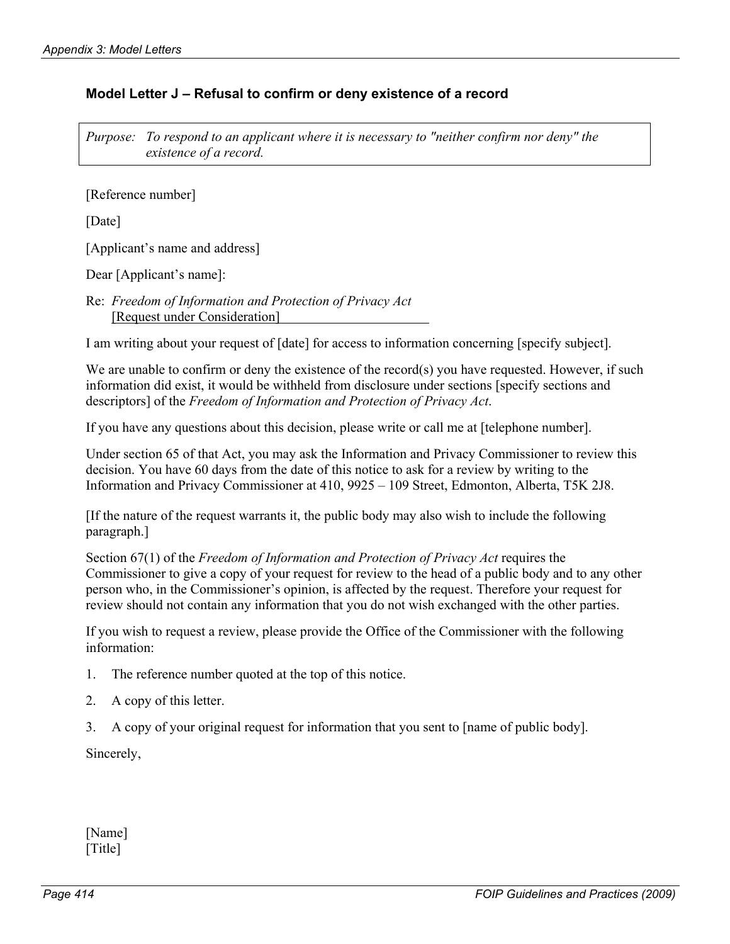## **Model Letter J – Refusal to confirm or deny existence of a record**

*Purpose: To respond to an applicant where it is necessary to "neither confirm nor deny" the existence of a record.* 

[Reference number]

[Date]

[Applicant's name and address]

Dear [Applicant's name]:

Re: *Freedom of Information and Protection of Privacy Act* [Request under Consideration]

I am writing about your request of [date] for access to information concerning [specify subject].

We are unable to confirm or deny the existence of the record(s) you have requested. However, if such information did exist, it would be withheld from disclosure under sections [specify sections and descriptors] of the *Freedom of Information and Protection of Privacy Act*.

If you have any questions about this decision, please write or call me at [telephone number].

Under section 65 of that Act, you may ask the Information and Privacy Commissioner to review this decision. You have 60 days from the date of this notice to ask for a review by writing to the Information and Privacy Commissioner at 410, 9925 – 109 Street, Edmonton, Alberta, T5K 2J8.

[If the nature of the request warrants it, the public body may also wish to include the following paragraph.]

Section 67(1) of the *Freedom of Information and Protection of Privacy Act* requires the Commissioner to give a copy of your request for review to the head of a public body and to any other person who, in the Commissioner's opinion, is affected by the request. Therefore your request for review should not contain any information that you do not wish exchanged with the other parties.

If you wish to request a review, please provide the Office of the Commissioner with the following information:

- 1. The reference number quoted at the top of this notice.
- 2. A copy of this letter.
- 3. A copy of your original request for information that you sent to [name of public body].

Sincerely,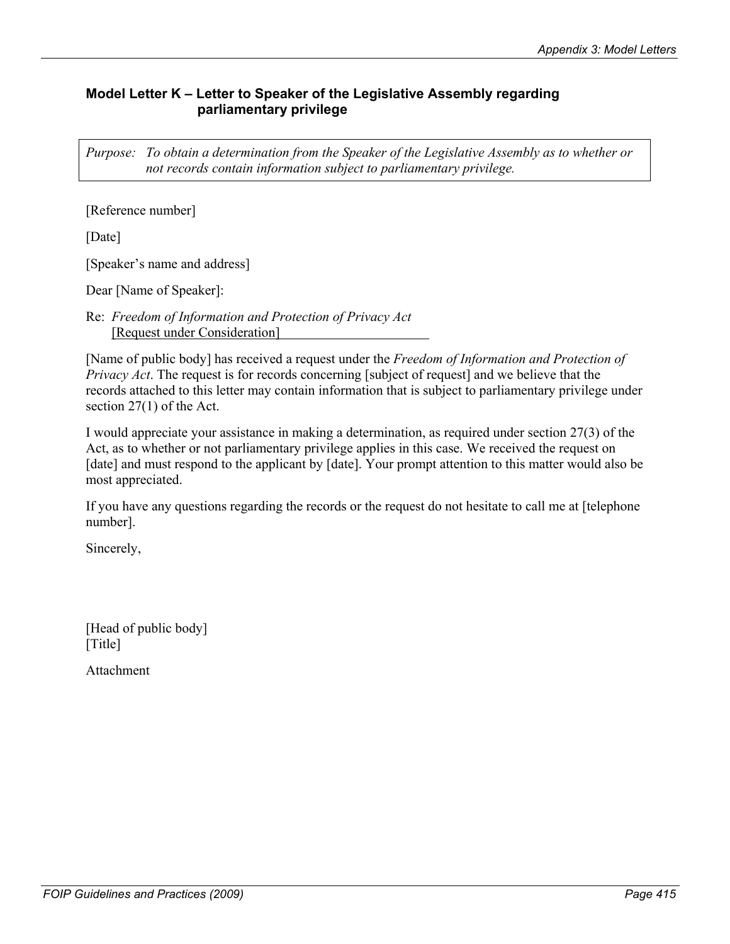# **Model Letter K – Letter to Speaker of the Legislative Assembly regarding parliamentary privilege**

*Purpose: To obtain a determination from the Speaker of the Legislative Assembly as to whether or not records contain information subject to parliamentary privilege.* 

[Reference number]

[Date]

[Speaker's name and address]

Dear [Name of Speaker]:

Re: *Freedom of Information and Protection of Privacy Act*  [Request under Consideration]

[Name of public body] has received a request under the *Freedom of Information and Protection of Privacy Act*. The request is for records concerning [subject of request] and we believe that the records attached to this letter may contain information that is subject to parliamentary privilege under section 27(1) of the Act.

I would appreciate your assistance in making a determination, as required under section 27(3) of the Act, as to whether or not parliamentary privilege applies in this case. We received the request on [date] and must respond to the applicant by [date]. Your prompt attention to this matter would also be most appreciated.

If you have any questions regarding the records or the request do not hesitate to call me at [telephone number].

Sincerely,

[Head of public body] [Title]

Attachment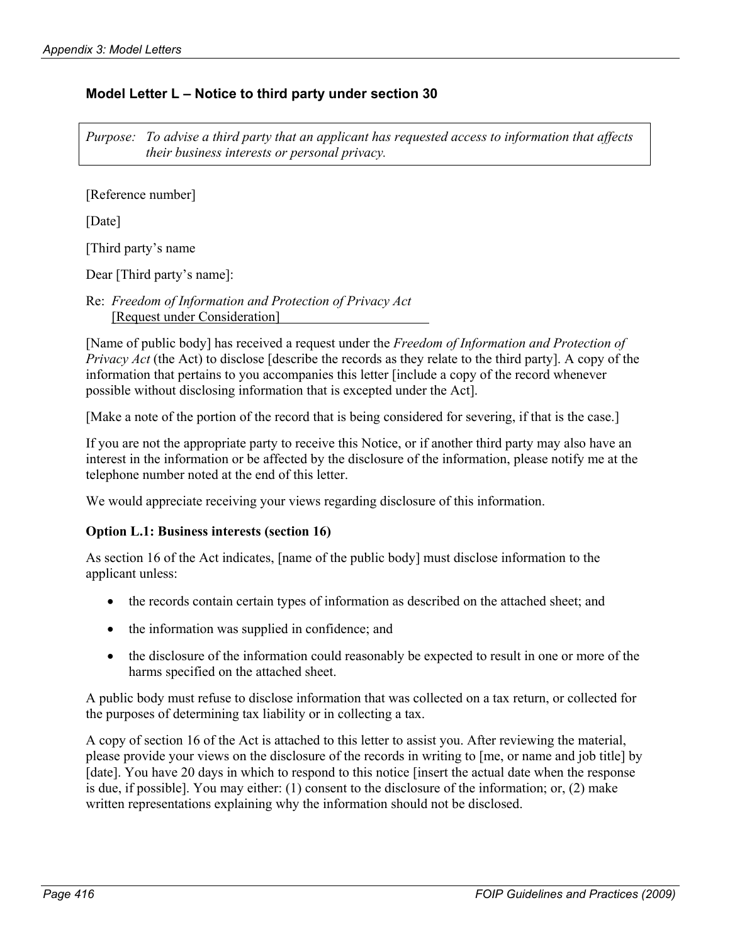## **Model Letter L – Notice to third party under section 30**

*Purpose: To advise a third party that an applicant has requested access to information that affects their business interests or personal privacy.* 

[Reference number]

[Date]

[Third party's name

Dear [Third party's name]:

Re: *Freedom of Information and Protection of Privacy Act*  [Request under Consideration]

[Name of public body] has received a request under the *Freedom of Information and Protection of Privacy Act* (the Act) to disclose [describe the records as they relate to the third party]. A copy of the information that pertains to you accompanies this letter [include a copy of the record whenever possible without disclosing information that is excepted under the Act].

[Make a note of the portion of the record that is being considered for severing, if that is the case.]

If you are not the appropriate party to receive this Notice, or if another third party may also have an interest in the information or be affected by the disclosure of the information, please notify me at the telephone number noted at the end of this letter.

We would appreciate receiving your views regarding disclosure of this information.

#### **Option L.1: Business interests (section 16)**

As section 16 of the Act indicates, [name of the public body] must disclose information to the applicant unless:

- the records contain certain types of information as described on the attached sheet; and
- the information was supplied in confidence; and
- the disclosure of the information could reasonably be expected to result in one or more of the harms specified on the attached sheet.

A public body must refuse to disclose information that was collected on a tax return, or collected for the purposes of determining tax liability or in collecting a tax.

A copy of section 16 of the Act is attached to this letter to assist you. After reviewing the material, please provide your views on the disclosure of the records in writing to [me, or name and job title] by [date]. You have 20 days in which to respond to this notice [insert the actual date when the response is due, if possible]. You may either: (1) consent to the disclosure of the information; or, (2) make written representations explaining why the information should not be disclosed.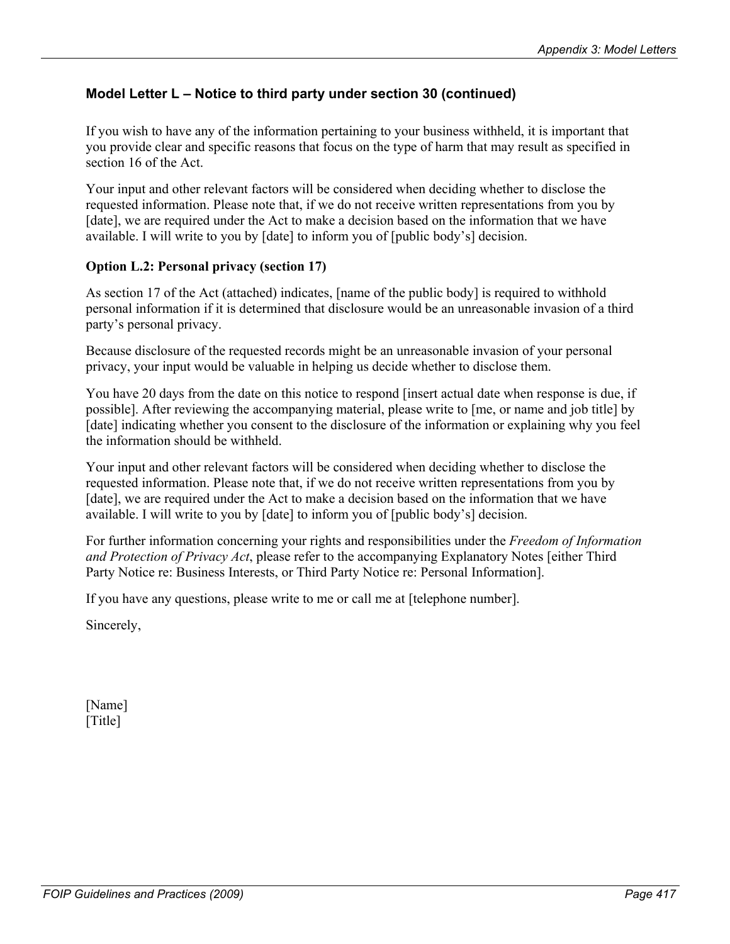If you wish to have any of the information pertaining to your business withheld, it is important that you provide clear and specific reasons that focus on the type of harm that may result as specified in section 16 of the Act.

Your input and other relevant factors will be considered when deciding whether to disclose the requested information. Please note that, if we do not receive written representations from you by [date], we are required under the Act to make a decision based on the information that we have available. I will write to you by [date] to inform you of [public body's] decision.

#### **Option L.2: Personal privacy (section 17)**

As section 17 of the Act (attached) indicates, [name of the public body] is required to withhold personal information if it is determined that disclosure would be an unreasonable invasion of a third party's personal privacy.

Because disclosure of the requested records might be an unreasonable invasion of your personal privacy, your input would be valuable in helping us decide whether to disclose them.

You have 20 days from the date on this notice to respond [insert actual date when response is due, if possible]. After reviewing the accompanying material, please write to [me, or name and job title] by [date] indicating whether you consent to the disclosure of the information or explaining why you feel the information should be withheld.

Your input and other relevant factors will be considered when deciding whether to disclose the requested information. Please note that, if we do not receive written representations from you by [date], we are required under the Act to make a decision based on the information that we have available. I will write to you by [date] to inform you of [public body's] decision.

For further information concerning your rights and responsibilities under the *Freedom of Information and Protection of Privacy Act*, please refer to the accompanying Explanatory Notes [either Third Party Notice re: Business Interests, or Third Party Notice re: Personal Information].

If you have any questions, please write to me or call me at [telephone number].

Sincerely,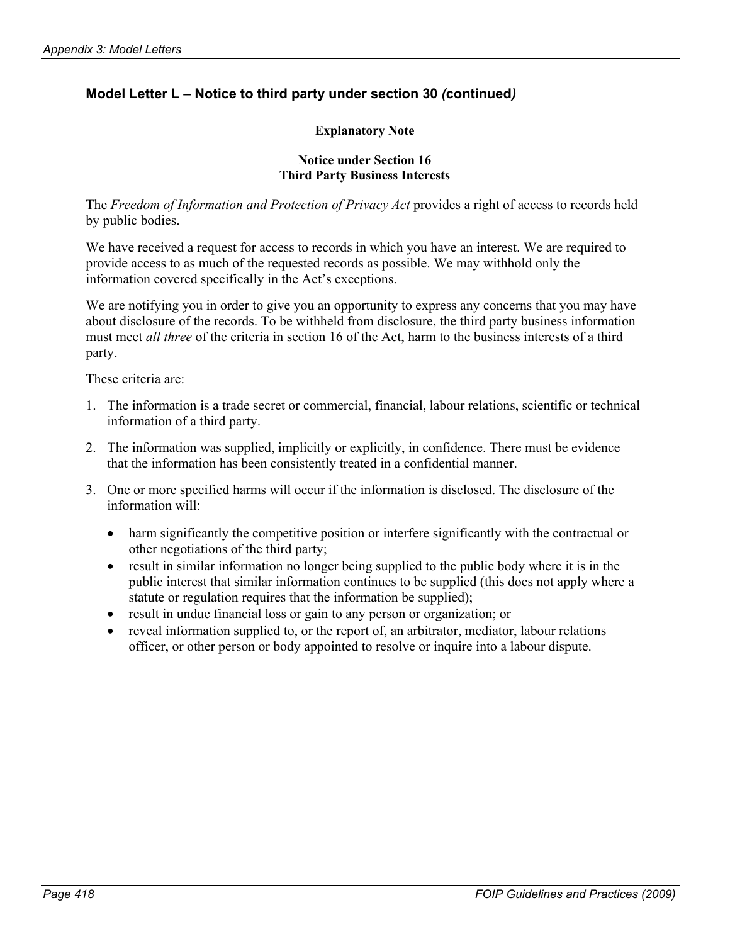#### **Explanatory Note**

#### **Notice under Section 16 Third Party Business Interests**

The *Freedom of Information and Protection of Privacy Act* provides a right of access to records held by public bodies.

We have received a request for access to records in which you have an interest. We are required to provide access to as much of the requested records as possible. We may withhold only the information covered specifically in the Act's exceptions.

We are notifying you in order to give you an opportunity to express any concerns that you may have about disclosure of the records. To be withheld from disclosure, the third party business information must meet *all three* of the criteria in section 16 of the Act, harm to the business interests of a third party.

These criteria are:

- 1. The information is a trade secret or commercial, financial, labour relations, scientific or technical information of a third party.
- 2. The information was supplied, implicitly or explicitly, in confidence. There must be evidence that the information has been consistently treated in a confidential manner.
- 3. One or more specified harms will occur if the information is disclosed. The disclosure of the information will:
	- harm significantly the competitive position or interfere significantly with the contractual or other negotiations of the third party; •
	- result in similar information no longer being supplied to the public body where it is in the public interest that similar information continues to be supplied (this does not apply where a statute or regulation requires that the information be supplied);
	- result in undue financial loss or gain to any person or organization; or
	- reveal information supplied to, or the report of, an arbitrator, mediator, labour relations officer, or other person or body appointed to resolve or inquire into a labour dispute.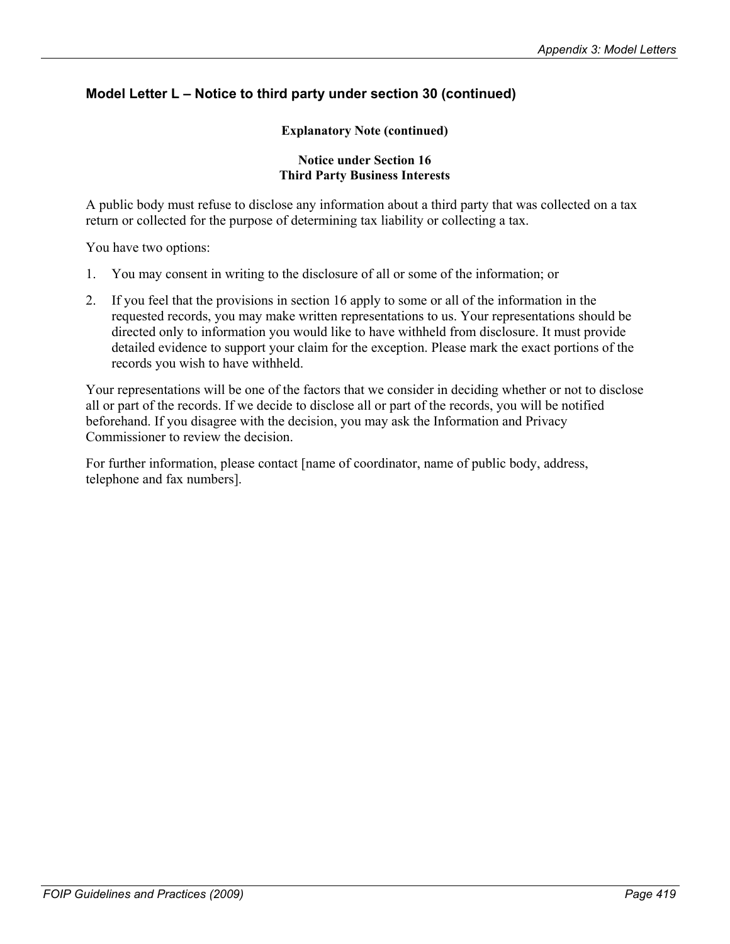#### **Explanatory Note (continued)**

#### **Notice under Section 16 Third Party Business Interests**

A public body must refuse to disclose any information about a third party that was collected on a tax return or collected for the purpose of determining tax liability or collecting a tax.

You have two options:

- 1. You may consent in writing to the disclosure of all or some of the information; or
- 2. If you feel that the provisions in section 16 apply to some or all of the information in the requested records, you may make written representations to us. Your representations should be directed only to information you would like to have withheld from disclosure. It must provide detailed evidence to support your claim for the exception. Please mark the exact portions of the records you wish to have withheld.

Your representations will be one of the factors that we consider in deciding whether or not to disclose all or part of the records. If we decide to disclose all or part of the records, you will be notified beforehand. If you disagree with the decision, you may ask the Information and Privacy Commissioner to review the decision.

For further information, please contact [name of coordinator, name of public body, address, telephone and fax numbers].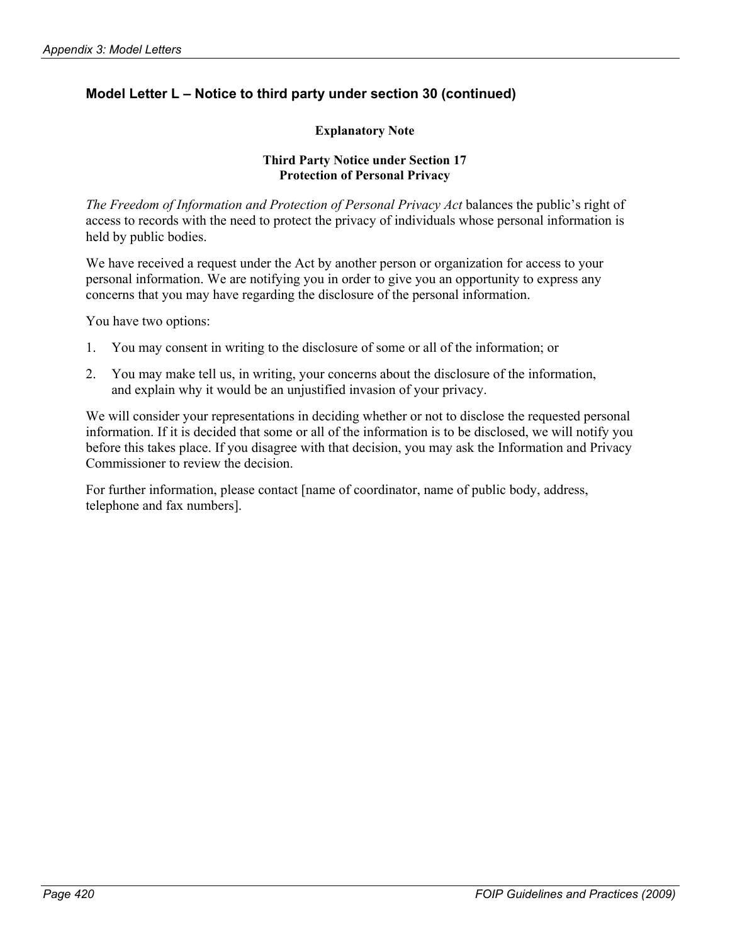## **Explanatory Note**

#### **Third Party Notice under Section 17 Protection of Personal Privacy**

*The Freedom of Information and Protection of Personal Privacy Act* balances the public's right of access to records with the need to protect the privacy of individuals whose personal information is held by public bodies.

We have received a request under the Act by another person or organization for access to your personal information. We are notifying you in order to give you an opportunity to express any concerns that you may have regarding the disclosure of the personal information.

You have two options:

- 1. You may consent in writing to the disclosure of some or all of the information; or
- 2. You may make tell us, in writing, your concerns about the disclosure of the information, and explain why it would be an unjustified invasion of your privacy.

We will consider your representations in deciding whether or not to disclose the requested personal information. If it is decided that some or all of the information is to be disclosed, we will notify you before this takes place. If you disagree with that decision, you may ask the Information and Privacy Commissioner to review the decision.

For further information, please contact [name of coordinator, name of public body, address, telephone and fax numbers].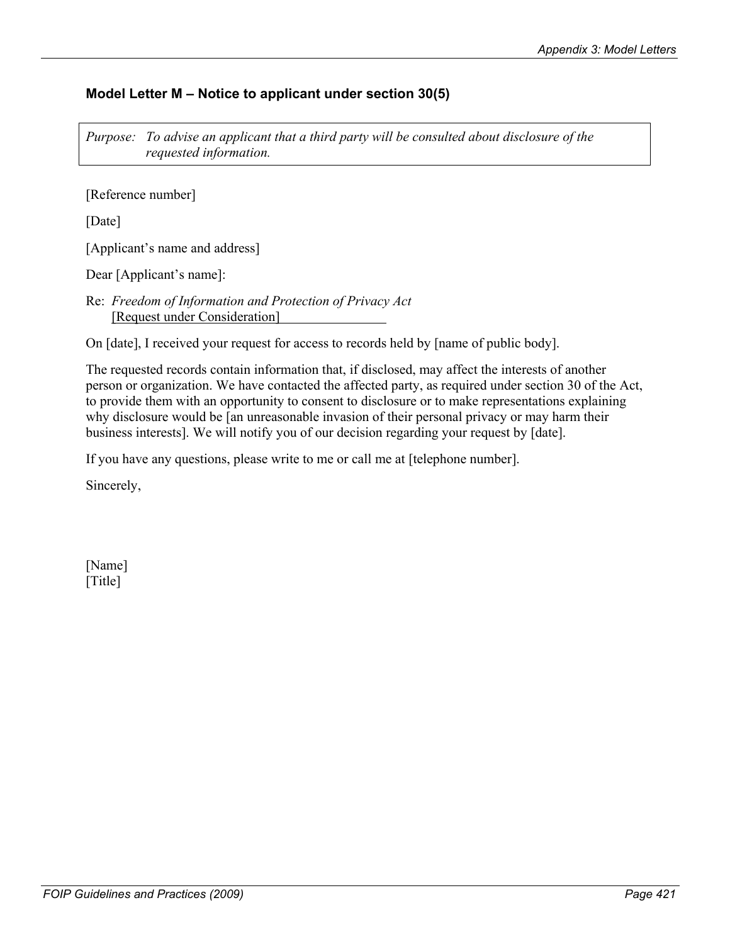# **Model Letter M – Notice to applicant under section 30(5)**

*Purpose: To advise an applicant that a third party will be consulted about disclosure of the requested information.* 

[Reference number]

[Date]

[Applicant's name and address]

Dear [Applicant's name]:

Re: *Freedom of Information and Protection of Privacy Act* [Request under Consideration]

On [date], I received your request for access to records held by [name of public body].

The requested records contain information that, if disclosed, may affect the interests of another person or organization. We have contacted the affected party, as required under section 30 of the Act, to provide them with an opportunity to consent to disclosure or to make representations explaining why disclosure would be [an unreasonable invasion of their personal privacy or may harm their business interests]. We will notify you of our decision regarding your request by [date].

If you have any questions, please write to me or call me at [telephone number].

Sincerely,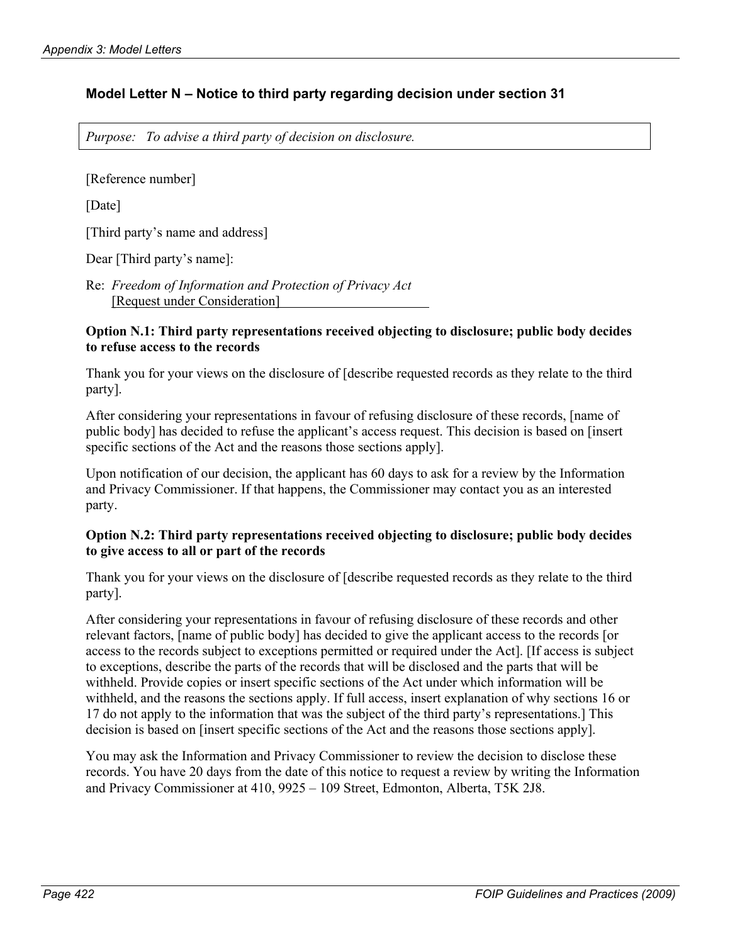## **Model Letter N – Notice to third party regarding decision under section 31**

*Purpose: To advise a third party of decision on disclosure.* 

[Reference number]

[Date]

[Third party's name and address]

Dear [Third party's name]:

Re: *Freedom of Information and Protection of Privacy Act* [Request under Consideration]

#### **Option N.1: Third party representations received objecting to disclosure; public body decides to refuse access to the records**

Thank you for your views on the disclosure of [describe requested records as they relate to the third party].

After considering your representations in favour of refusing disclosure of these records, [name of public body] has decided to refuse the applicant's access request. This decision is based on [insert specific sections of the Act and the reasons those sections apply].

Upon notification of our decision, the applicant has 60 days to ask for a review by the Information and Privacy Commissioner. If that happens, the Commissioner may contact you as an interested party.

#### **Option N.2: Third party representations received objecting to disclosure; public body decides to give access to all or part of the records**

Thank you for your views on the disclosure of [describe requested records as they relate to the third party].

After considering your representations in favour of refusing disclosure of these records and other relevant factors, [name of public body] has decided to give the applicant access to the records [or access to the records subject to exceptions permitted or required under the Act]. [If access is subject to exceptions, describe the parts of the records that will be disclosed and the parts that will be withheld. Provide copies or insert specific sections of the Act under which information will be withheld, and the reasons the sections apply. If full access, insert explanation of why sections 16 or 17 do not apply to the information that was the subject of the third party's representations.] This decision is based on [insert specific sections of the Act and the reasons those sections apply].

You may ask the Information and Privacy Commissioner to review the decision to disclose these records. You have 20 days from the date of this notice to request a review by writing the Information and Privacy Commissioner at 410, 9925 – 109 Street, Edmonton, Alberta, T5K 2J8.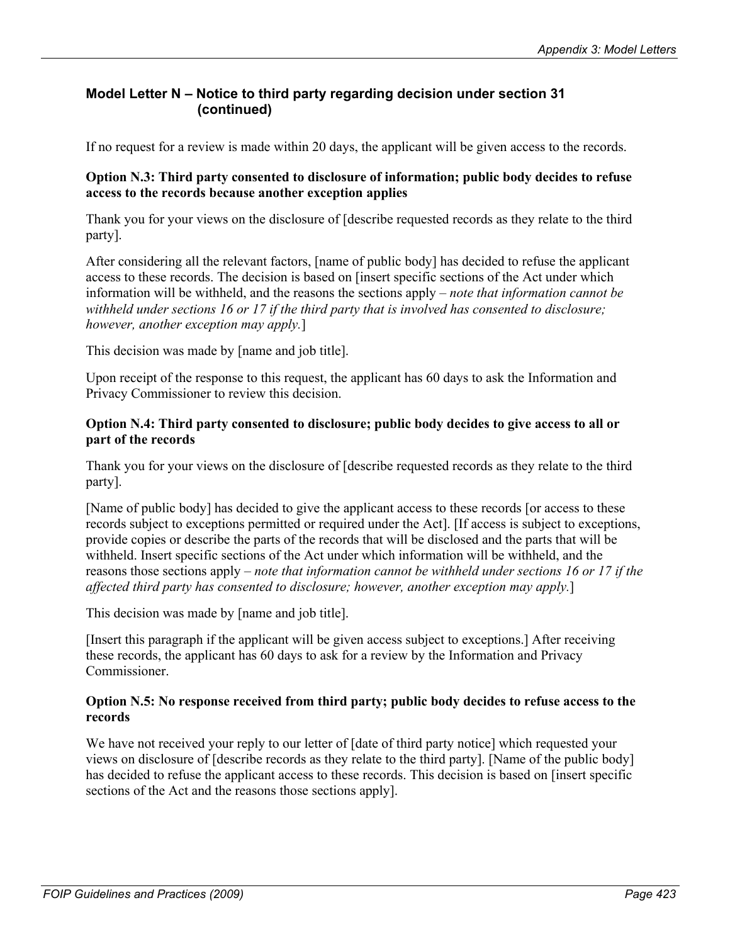# **Model Letter N – Notice to third party regarding decision under section 31 (continued)**

If no request for a review is made within 20 days, the applicant will be given access to the records.

## **Option N.3: Third party consented to disclosure of information; public body decides to refuse access to the records because another exception applies**

Thank you for your views on the disclosure of [describe requested records as they relate to the third party].

After considering all the relevant factors, [name of public body] has decided to refuse the applicant access to these records. The decision is based on [insert specific sections of the Act under which information will be withheld, and the reasons the sections apply – *note that information cannot be withheld under sections 16 or 17 if the third party that is involved has consented to disclosure; however, another exception may apply.*]

This decision was made by [name and job title].

Upon receipt of the response to this request, the applicant has 60 days to ask the Information and Privacy Commissioner to review this decision.

#### **Option N.4: Third party consented to disclosure; public body decides to give access to all or part of the records**

Thank you for your views on the disclosure of [describe requested records as they relate to the third party].

[Name of public body] has decided to give the applicant access to these records [or access to these records subject to exceptions permitted or required under the Act]. [If access is subject to exceptions, provide copies or describe the parts of the records that will be disclosed and the parts that will be withheld. Insert specific sections of the Act under which information will be withheld, and the reasons those sections apply – *note that information cannot be withheld under sections 16 or 17 if the affected third party has consented to disclosure; however, another exception may apply.*]

This decision was made by [name and job title].

[Insert this paragraph if the applicant will be given access subject to exceptions.] After receiving these records, the applicant has 60 days to ask for a review by the Information and Privacy **Commissioner** 

#### **Option N.5: No response received from third party; public body decides to refuse access to the records**

We have not received your reply to our letter of  $\lceil$  date of third party notice $\lceil$  which requested your views on disclosure of [describe records as they relate to the third party]. [Name of the public body] has decided to refuse the applicant access to these records. This decision is based on [insert specific sections of the Act and the reasons those sections apply].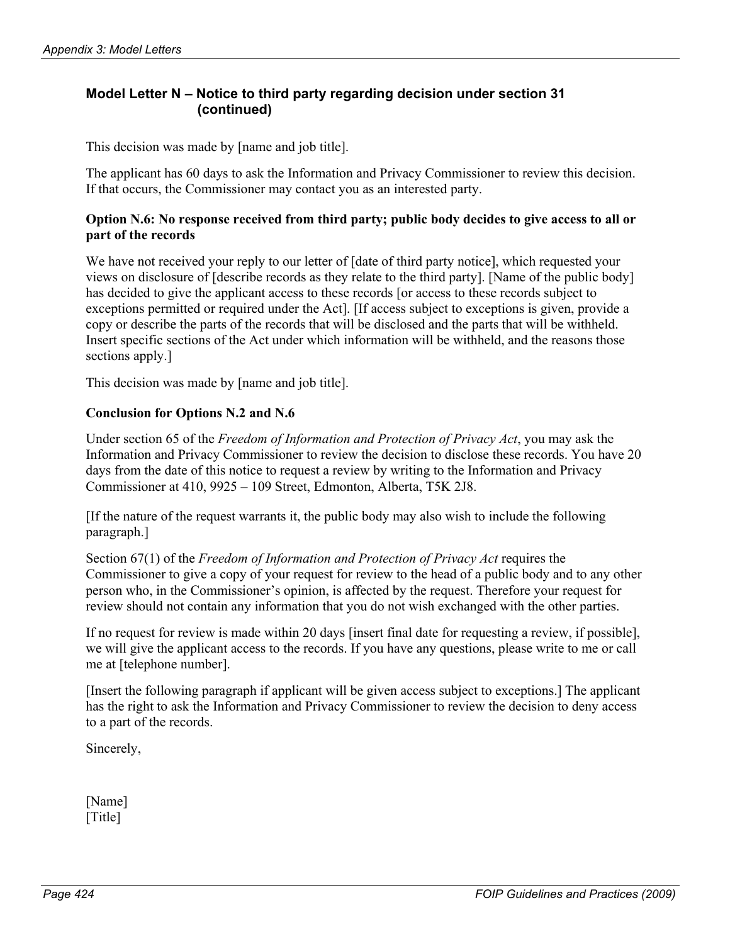# **Model Letter N – Notice to third party regarding decision under section 31 (continued)**

This decision was made by [name and job title].

The applicant has 60 days to ask the Information and Privacy Commissioner to review this decision. If that occurs, the Commissioner may contact you as an interested party.

#### **Option N.6: No response received from third party; public body decides to give access to all or part of the records**

We have not received your reply to our letter of [date of third party notice], which requested your views on disclosure of [describe records as they relate to the third party]. [Name of the public body] has decided to give the applicant access to these records [or access to these records subject to exceptions permitted or required under the Act]. [If access subject to exceptions is given, provide a copy or describe the parts of the records that will be disclosed and the parts that will be withheld. Insert specific sections of the Act under which information will be withheld, and the reasons those sections apply.]

This decision was made by [name and job title].

## **Conclusion for Options N.2 and N.6**

Under section 65 of the *Freedom of Information and Protection of Privacy Act*, you may ask the Information and Privacy Commissioner to review the decision to disclose these records. You have 20 days from the date of this notice to request a review by writing to the Information and Privacy Commissioner at 410, 9925 – 109 Street, Edmonton, Alberta, T5K 2J8.

[If the nature of the request warrants it, the public body may also wish to include the following paragraph.]

Section 67(1) of the *Freedom of Information and Protection of Privacy Act* requires the Commissioner to give a copy of your request for review to the head of a public body and to any other person who, in the Commissioner's opinion, is affected by the request. Therefore your request for review should not contain any information that you do not wish exchanged with the other parties.

If no request for review is made within 20 days [insert final date for requesting a review, if possible], we will give the applicant access to the records. If you have any questions, please write to me or call me at [telephone number].

[Insert the following paragraph if applicant will be given access subject to exceptions.] The applicant has the right to ask the Information and Privacy Commissioner to review the decision to deny access to a part of the records.

Sincerely,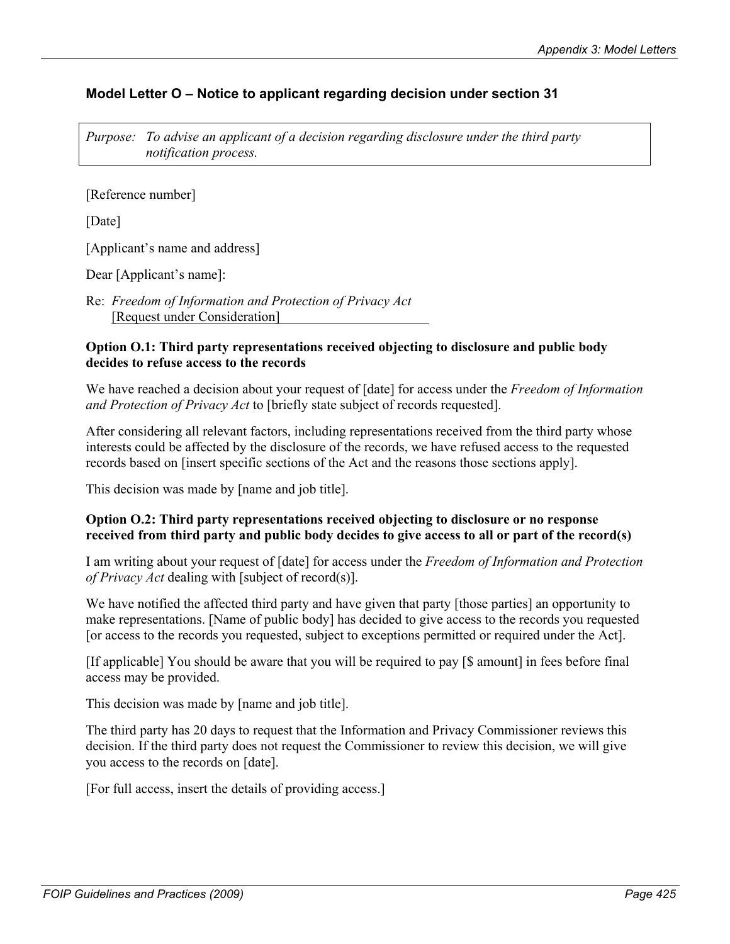# **Model Letter O – Notice to applicant regarding decision under section 31**

*Purpose: To advise an applicant of a decision regarding disclosure under the third party notification process.* 

[Reference number]

[Date]

[Applicant's name and address]

Dear [Applicant's name]:

Re: *Freedom of Information and Protection of Privacy Act* [Request under Consideration]

#### **Option O.1: Third party representations received objecting to disclosure and public body decides to refuse access to the records**

We have reached a decision about your request of [date] for access under the *Freedom of Information and Protection of Privacy Act* to [briefly state subject of records requested].

After considering all relevant factors, including representations received from the third party whose interests could be affected by the disclosure of the records, we have refused access to the requested records based on [insert specific sections of the Act and the reasons those sections apply].

This decision was made by [name and job title].

## **Option O.2: Third party representations received objecting to disclosure or no response received from third party and public body decides to give access to all or part of the record(s)**

I am writing about your request of [date] for access under the *Freedom of Information and Protection of Privacy Act* dealing with [subject of record(s)].

We have notified the affected third party and have given that party [those parties] an opportunity to make representations. [Name of public body] has decided to give access to the records you requested [or access to the records you requested, subject to exceptions permitted or required under the Act].

[If applicable] You should be aware that you will be required to pay [\$ amount] in fees before final access may be provided.

This decision was made by [name and job title].

The third party has 20 days to request that the Information and Privacy Commissioner reviews this decision. If the third party does not request the Commissioner to review this decision, we will give you access to the records on [date].

[For full access, insert the details of providing access.]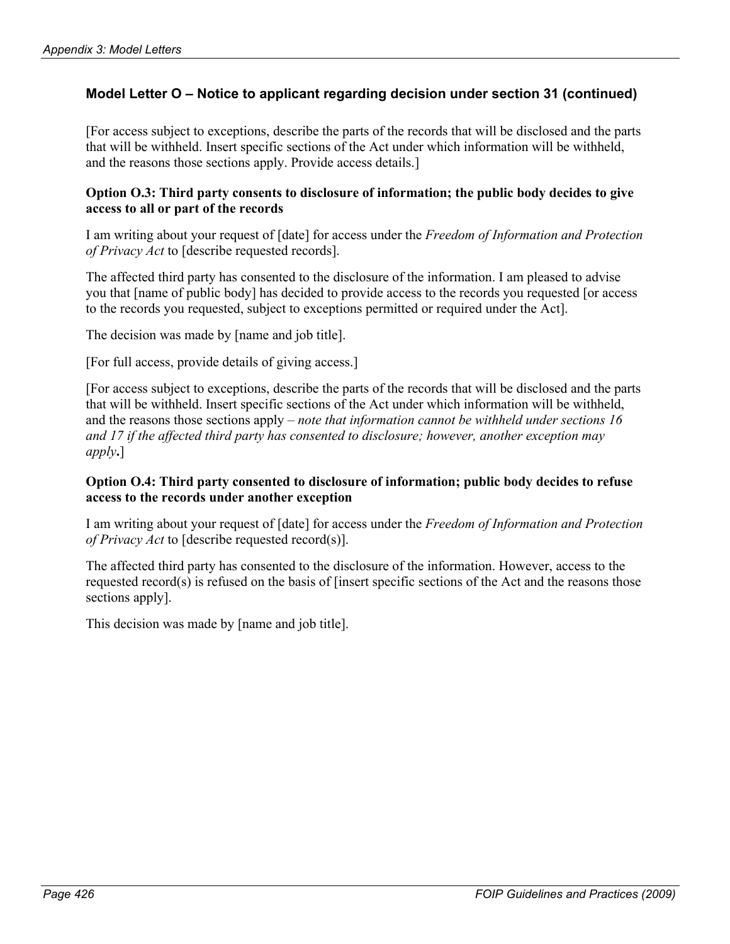# **Model Letter O – Notice to applicant regarding decision under section 31 (continued)**

[For access subject to exceptions, describe the parts of the records that will be disclosed and the parts that will be withheld. Insert specific sections of the Act under which information will be withheld, and the reasons those sections apply. Provide access details.]

#### **Option O.3: Third party consents to disclosure of information; the public body decides to give access to all or part of the records**

I am writing about your request of [date] for access under the *Freedom of Information and Protection of Privacy Act* to [describe requested records].

The affected third party has consented to the disclosure of the information. I am pleased to advise you that [name of public body] has decided to provide access to the records you requested [or access to the records you requested, subject to exceptions permitted or required under the Act].

The decision was made by [name and job title].

[For full access, provide details of giving access.]

[For access subject to exceptions, describe the parts of the records that will be disclosed and the parts that will be withheld. Insert specific sections of the Act under which information will be withheld, and the reasons those sections apply – *note that information cannot be withheld under sections 16 and 17 if the affected third party has consented to disclosure; however, another exception may apply***.**]

#### **Option O.4: Third party consented to disclosure of information; public body decides to refuse access to the records under another exception**

I am writing about your request of [date] for access under the *Freedom of Information and Protection of Privacy Act* to [describe requested record(s)].

The affected third party has consented to the disclosure of the information. However, access to the requested record(s) is refused on the basis of [insert specific sections of the Act and the reasons those sections apply].

This decision was made by [name and job title].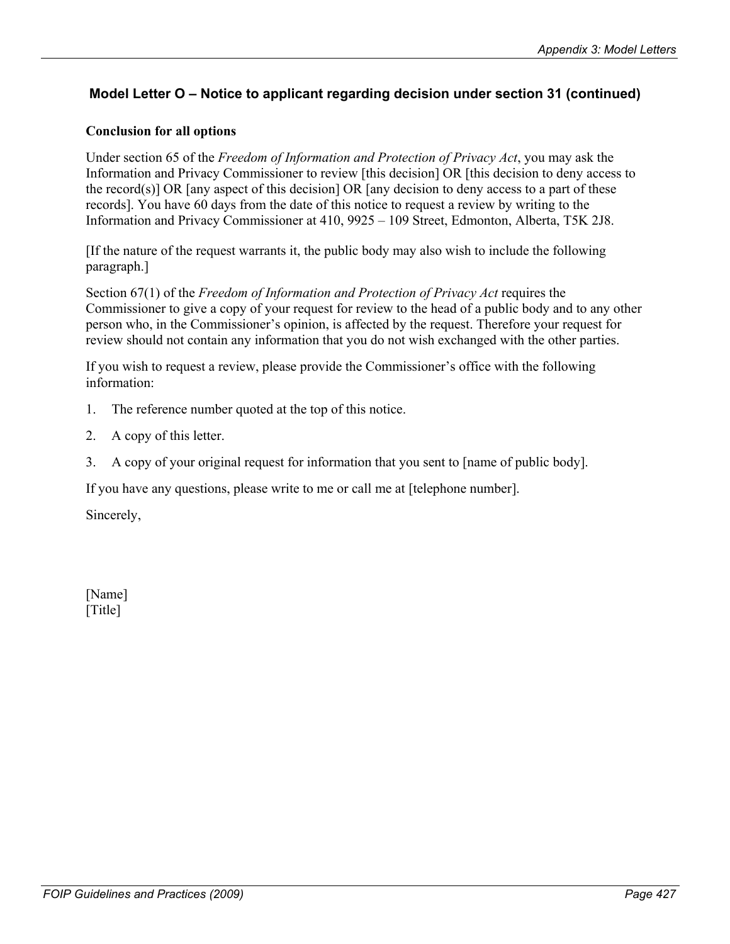# **Model Letter O – Notice to applicant regarding decision under section 31 (continued)**

## **Conclusion for all options**

Under section 65 of the *Freedom of Information and Protection of Privacy Act*, you may ask the Information and Privacy Commissioner to review [this decision] OR [this decision to deny access to the record(s)] OR [any aspect of this decision] OR [any decision to deny access to a part of these records]. You have 60 days from the date of this notice to request a review by writing to the Information and Privacy Commissioner at 410, 9925 – 109 Street, Edmonton, Alberta, T5K 2J8.

[If the nature of the request warrants it, the public body may also wish to include the following paragraph.]

Section 67(1) of the *Freedom of Information and Protection of Privacy Act* requires the Commissioner to give a copy of your request for review to the head of a public body and to any other person who, in the Commissioner's opinion, is affected by the request. Therefore your request for review should not contain any information that you do not wish exchanged with the other parties.

If you wish to request a review, please provide the Commissioner's office with the following information:

- 1. The reference number quoted at the top of this notice.
- 2. A copy of this letter.
- 3. A copy of your original request for information that you sent to [name of public body].

If you have any questions, please write to me or call me at [telephone number].

Sincerely,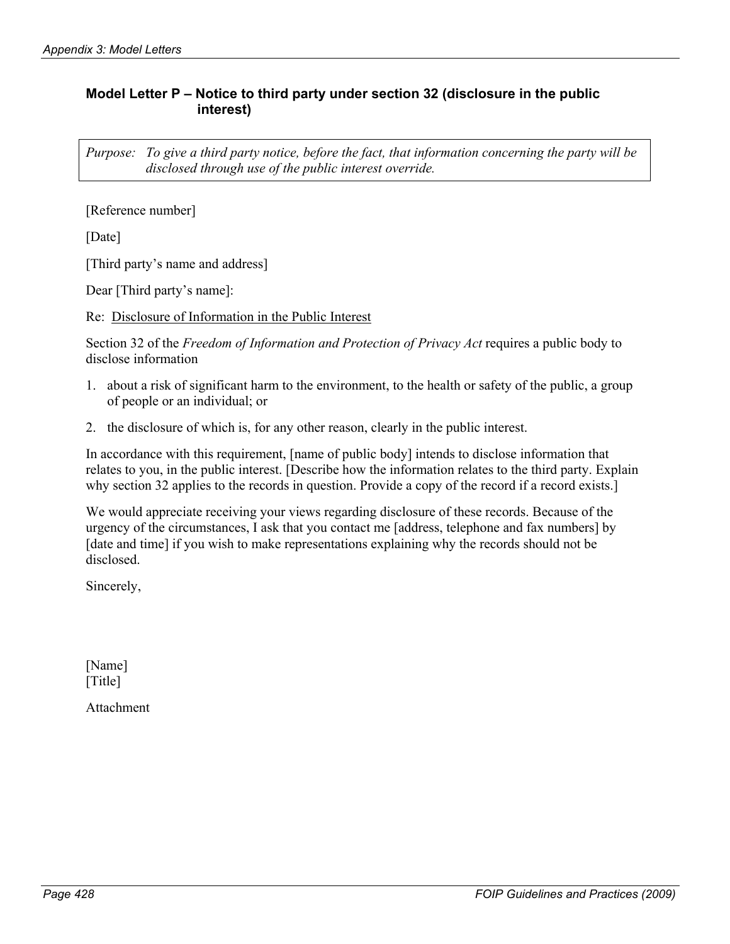## **Model Letter P – Notice to third party under section 32 (disclosure in the public interest)**

*Purpose: To give a third party notice, before the fact, that information concerning the party will be disclosed through use of the public interest override.* 

[Reference number]

[Date]

[Third party's name and address]

Dear [Third party's name]:

Re: Disclosure of Information in the Public Interest

Section 32 of the *Freedom of Information and Protection of Privacy Act* requires a public body to disclose information

- 1. about a risk of significant harm to the environment, to the health or safety of the public, a group of people or an individual; or
- 2. the disclosure of which is, for any other reason, clearly in the public interest.

In accordance with this requirement, [name of public body] intends to disclose information that relates to you, in the public interest. [Describe how the information relates to the third party. Explain why section 32 applies to the records in question. Provide a copy of the record if a record exists.]

We would appreciate receiving your views regarding disclosure of these records. Because of the urgency of the circumstances, I ask that you contact me [address, telephone and fax numbers] by [date and time] if you wish to make representations explaining why the records should not be disclosed.

Sincerely,

[Name] [Title]

Attachment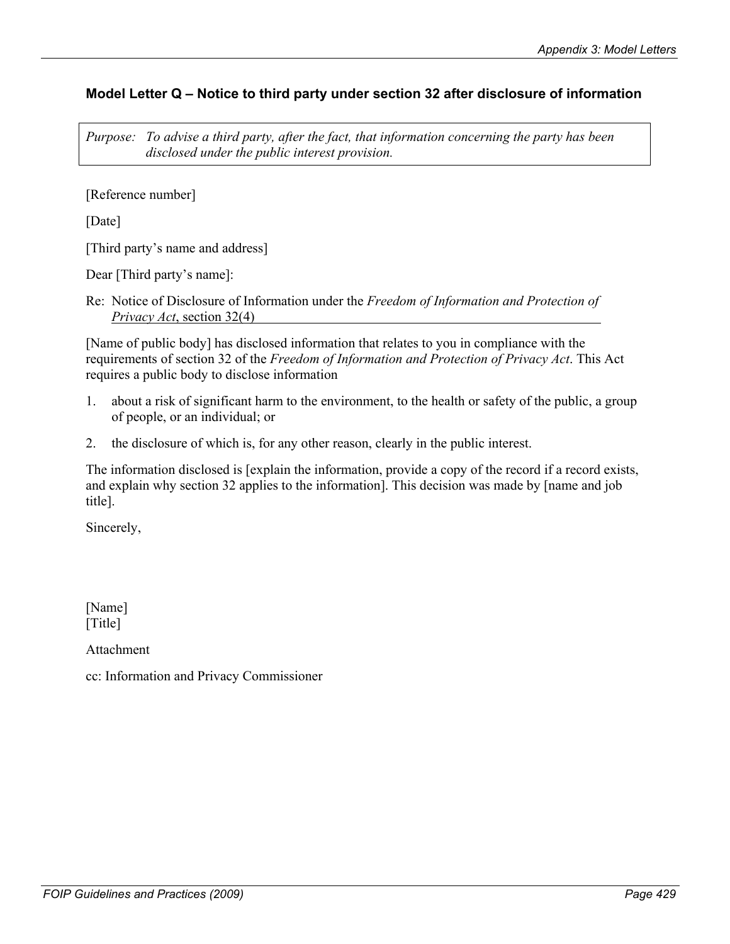# **Model Letter Q – Notice to third party under section 32 after disclosure of information**

*Purpose: To advise a third party, after the fact, that information concerning the party has been disclosed under the public interest provision.* 

[Reference number]

[Date]

[Third party's name and address]

Dear [Third party's name]:

Re: Notice of Disclosure of Information under the *Freedom of Information and Protection of Privacy Act*, section 32(4)

[Name of public body] has disclosed information that relates to you in compliance with the requirements of section 32 of the *Freedom of Information and Protection of Privacy Act*. This Act requires a public body to disclose information

- 1. about a risk of significant harm to the environment, to the health or safety of the public, a group of people, or an individual; or
- 2. the disclosure of which is, for any other reason, clearly in the public interest.

The information disclosed is [explain the information, provide a copy of the record if a record exists, and explain why section 32 applies to the information]. This decision was made by [name and job title].

Sincerely,

[Name] [Title]

Attachment

cc: Information and Privacy Commissioner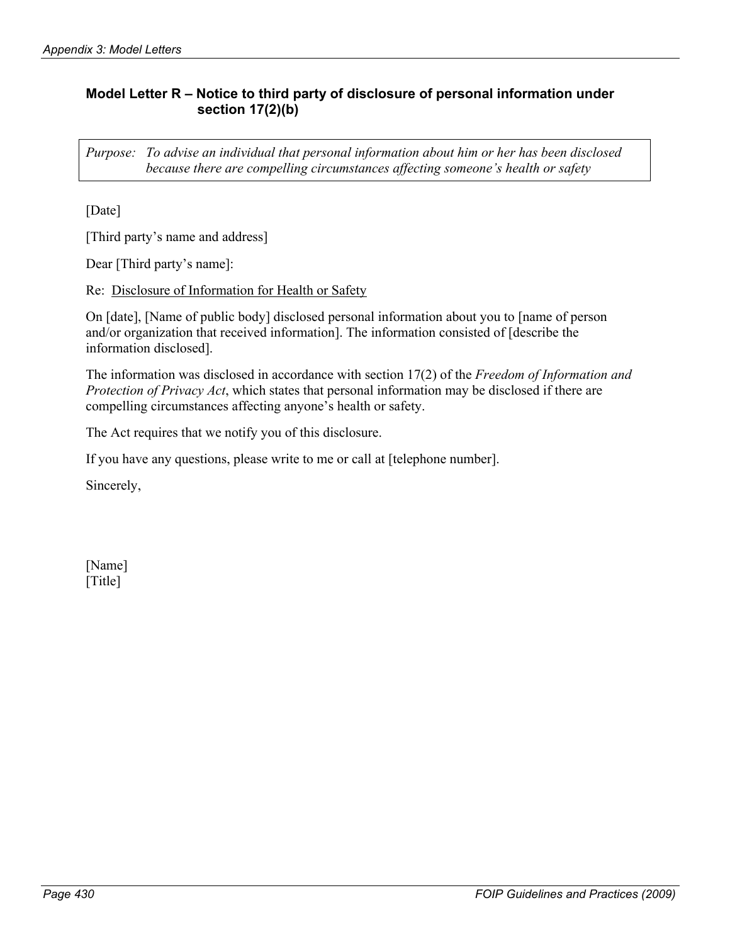# **Model Letter R – Notice to third party of disclosure of personal information under section 17(2)(b)**

*Purpose: To advise an individual that personal information about him or her has been disclosed because there are compelling circumstances affecting someone's health or safety* 

[Date]

[Third party's name and address]

Dear [Third party's name]:

Re: Disclosure of Information for Health or Safety

On [date], [Name of public body] disclosed personal information about you to [name of person and/or organization that received information]. The information consisted of [describe the information disclosed].

The information was disclosed in accordance with section 17(2) of the *Freedom of Information and Protection of Privacy Act*, which states that personal information may be disclosed if there are compelling circumstances affecting anyone's health or safety.

The Act requires that we notify you of this disclosure.

If you have any questions, please write to me or call at [telephone number].

Sincerely,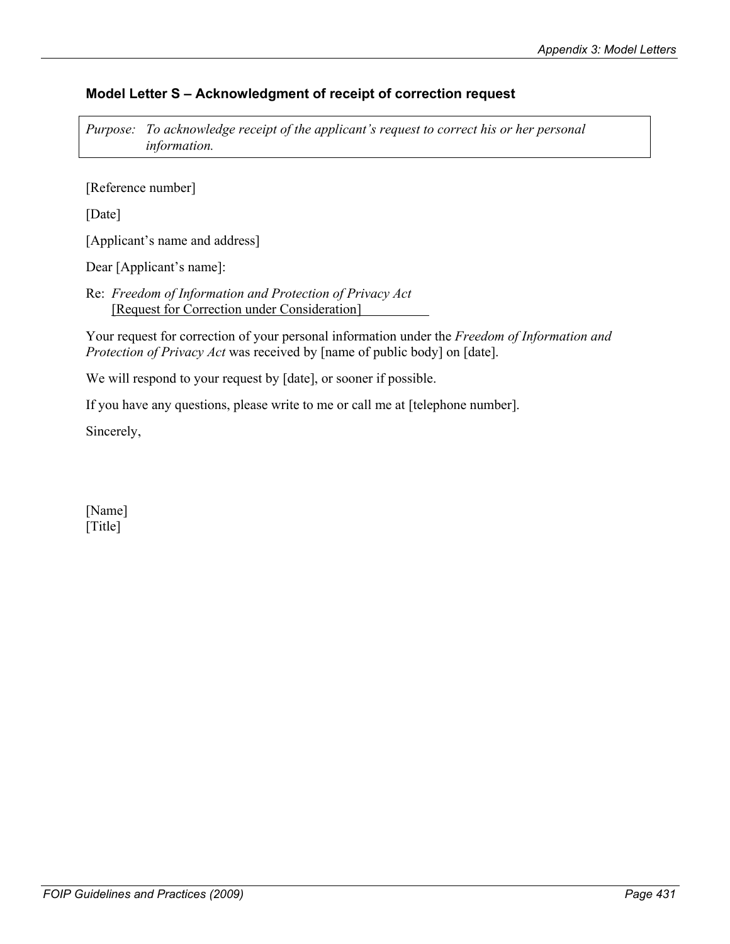# **Model Letter S – Acknowledgment of receipt of correction request**

*Purpose: To acknowledge receipt of the applicant's request to correct his or her personal information.* 

[Reference number]

[Date]

[Applicant's name and address]

Dear [Applicant's name]:

Re: *Freedom of Information and Protection of Privacy Act* [Request for Correction under Consideration]

Your request for correction of your personal information under the *Freedom of Information and Protection of Privacy Act* was received by [name of public body] on [date].

We will respond to your request by [date], or sooner if possible.

If you have any questions, please write to me or call me at [telephone number].

Sincerely,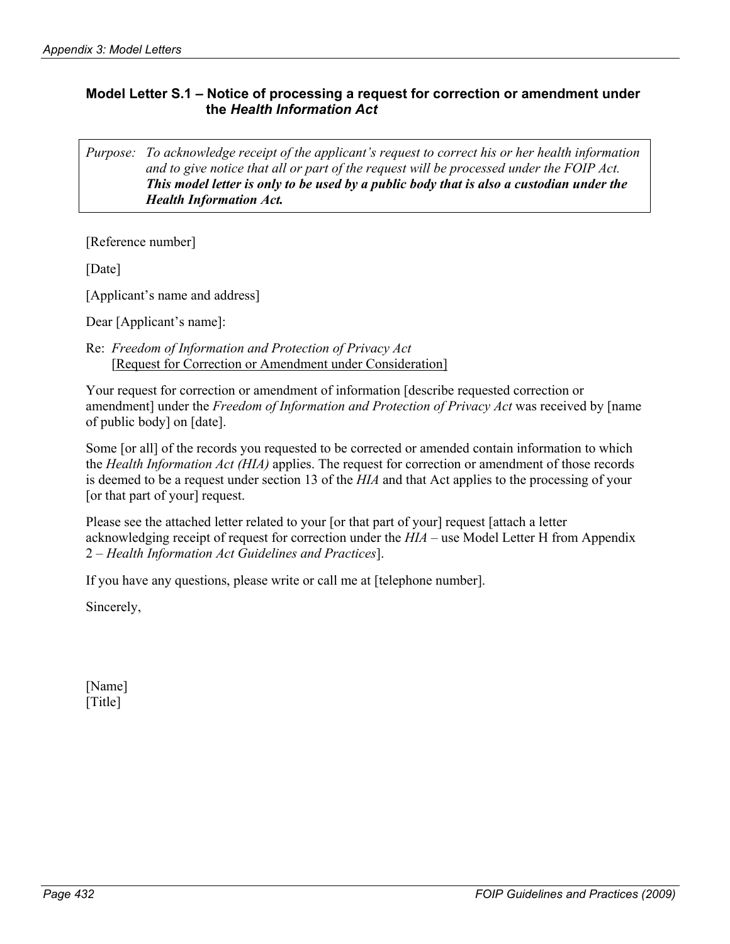# **Model Letter S.1 – Notice of processing a request for correction or amendment under the** *Health Information Act*

*Purpose: To acknowledge receipt of the applicant's request to correct his or her health information and to give notice that all or part of the request will be processed under the FOIP Act. This model letter is only to be used by a public body that is also a custodian under the Health Information Act.*

[Reference number]

[Date]

[Applicant's name and address]

Dear [Applicant's name]:

Re: *Freedom of Information and Protection of Privacy Act*  [Request for Correction or Amendment under Consideration]

Your request for correction or amendment of information [describe requested correction or amendment] under the *Freedom of Information and Protection of Privacy Act* was received by [name of public body] on [date].

Some [or all] of the records you requested to be corrected or amended contain information to which the *Health Information Act (HIA)* applies. The request for correction or amendment of those records is deemed to be a request under section 13 of the *HIA* and that Act applies to the processing of your [or that part of your] request.

Please see the attached letter related to your [or that part of your] request [attach a letter acknowledging receipt of request for correction under the *HIA* – use Model Letter H from Appendix 2 – *Health Information Act Guidelines and Practices*].

If you have any questions, please write or call me at [telephone number].

Sincerely,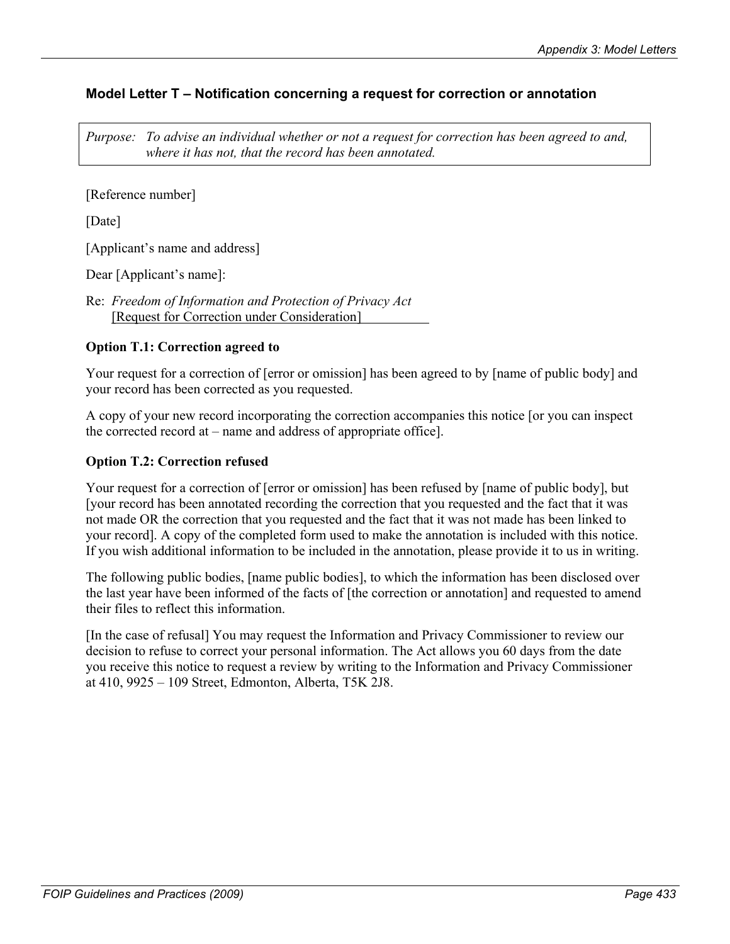# **Model Letter T – Notification concerning a request for correction or annotation**

*Purpose: To advise an individual whether or not a request for correction has been agreed to and, where it has not, that the record has been annotated.* 

[Reference number]

[Date]

[Applicant's name and address]

Dear [Applicant's name]:

Re: *Freedom of Information and Protection of Privacy Act* [Request for Correction under Consideration]

## **Option T.1: Correction agreed to**

Your request for a correction of [error or omission] has been agreed to by [name of public body] and your record has been corrected as you requested.

A copy of your new record incorporating the correction accompanies this notice [or you can inspect the corrected record at – name and address of appropriate office].

## **Option T.2: Correction refused**

Your request for a correction of [error or omission] has been refused by [name of public body], but [your record has been annotated recording the correction that you requested and the fact that it was not made OR the correction that you requested and the fact that it was not made has been linked to your record]. A copy of the completed form used to make the annotation is included with this notice. If you wish additional information to be included in the annotation, please provide it to us in writing.

The following public bodies, [name public bodies], to which the information has been disclosed over the last year have been informed of the facts of [the correction or annotation] and requested to amend their files to reflect this information.

[In the case of refusal] You may request the Information and Privacy Commissioner to review our decision to refuse to correct your personal information. The Act allows you 60 days from the date you receive this notice to request a review by writing to the Information and Privacy Commissioner at 410, 9925 – 109 Street, Edmonton, Alberta, T5K 2J8.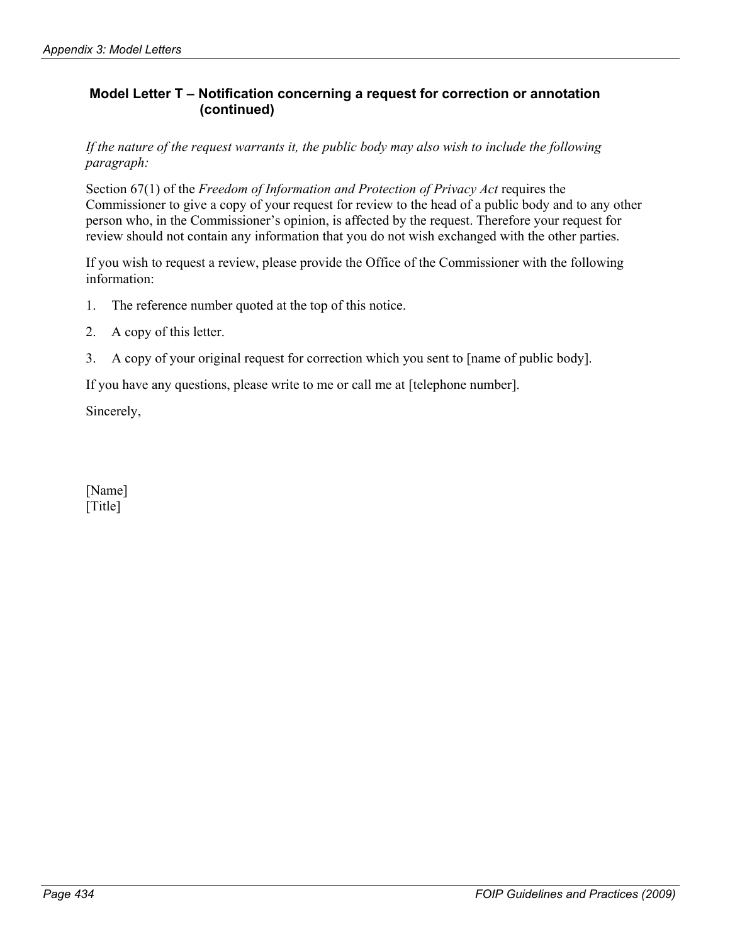# **Model Letter T – Notification concerning a request for correction or annotation (continued)**

*If the nature of the request warrants it, the public body may also wish to include the following paragraph:* 

Section 67(1) of the *Freedom of Information and Protection of Privacy Act* requires the Commissioner to give a copy of your request for review to the head of a public body and to any other person who, in the Commissioner's opinion, is affected by the request. Therefore your request for review should not contain any information that you do not wish exchanged with the other parties.

If you wish to request a review, please provide the Office of the Commissioner with the following information:

- 1. The reference number quoted at the top of this notice.
- 2. A copy of this letter.
- 3. A copy of your original request for correction which you sent to [name of public body].

If you have any questions, please write to me or call me at [telephone number].

Sincerely,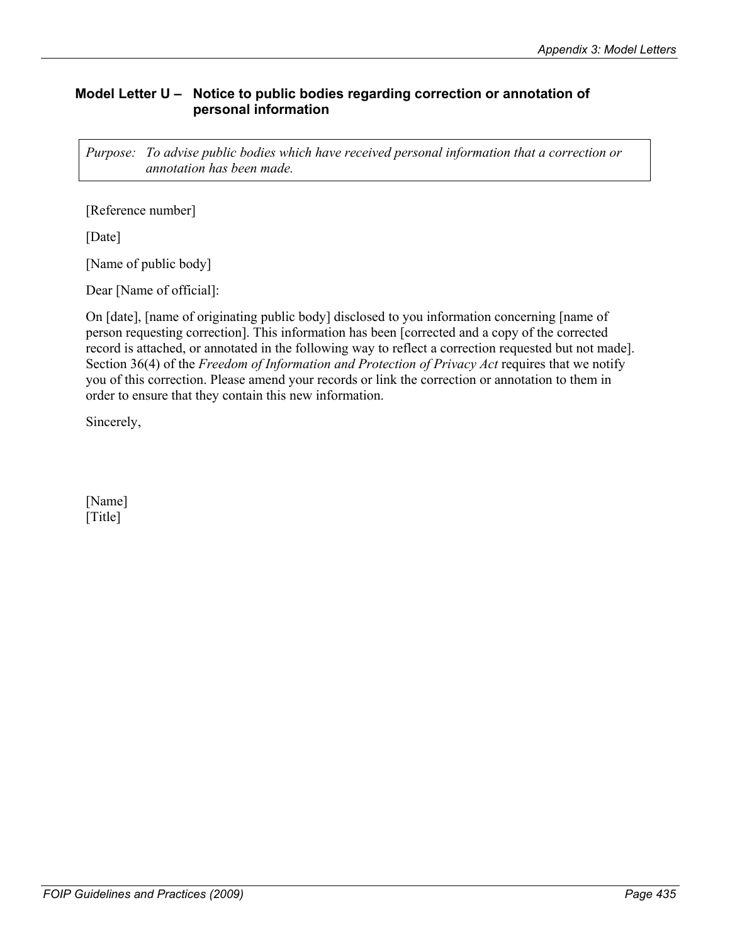# **Model Letter U – Notice to public bodies regarding correction or annotation of personal information**

*Purpose: To advise public bodies which have received personal information that a correction or annotation has been made.* 

[Reference number]

[Date]

[Name of public body]

Dear [Name of official]:

On [date], [name of originating public body] disclosed to you information concerning [name of person requesting correction]. This information has been [corrected and a copy of the corrected record is attached, or annotated in the following way to reflect a correction requested but not made]. Section 36(4) of the *Freedom of Information and Protection of Privacy Act* requires that we notify you of this correction. Please amend your records or link the correction or annotation to them in order to ensure that they contain this new information.

Sincerely,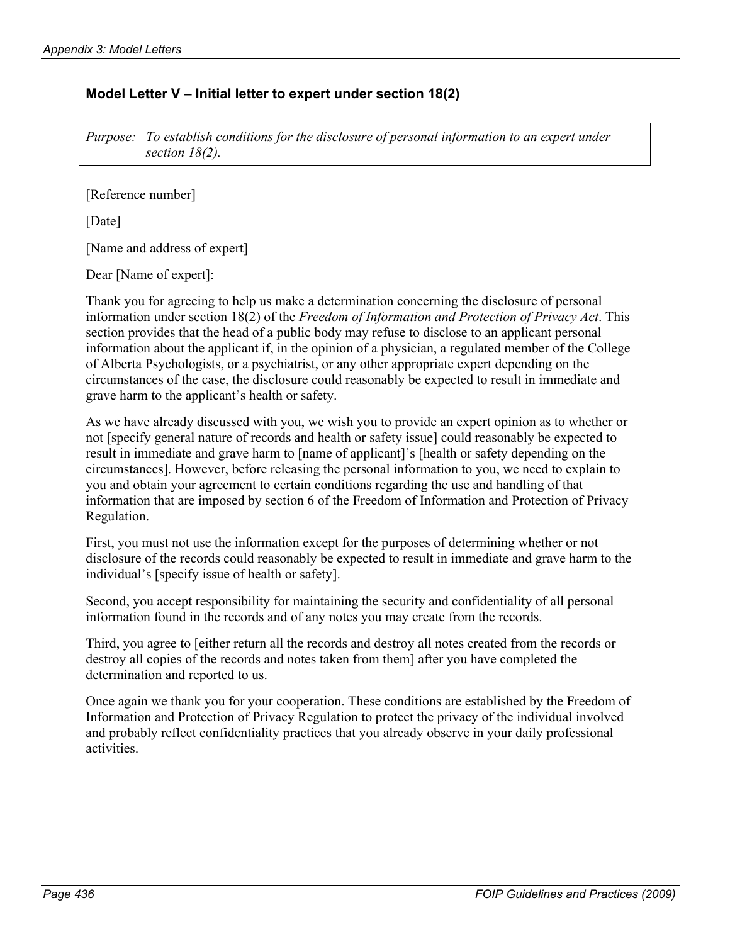## **Model Letter V – Initial letter to expert under section 18(2)**

*Purpose: To establish conditions for the disclosure of personal information to an expert under section 18(2).* 

[Reference number]

[Date]

[Name and address of expert]

Dear [Name of expert]:

Thank you for agreeing to help us make a determination concerning the disclosure of personal information under section 18(2) of the *Freedom of Information and Protection of Privacy Act*. This section provides that the head of a public body may refuse to disclose to an applicant personal information about the applicant if, in the opinion of a physician, a regulated member of the College of Alberta Psychologists, or a psychiatrist, or any other appropriate expert depending on the circumstances of the case, the disclosure could reasonably be expected to result in immediate and grave harm to the applicant's health or safety.

As we have already discussed with you, we wish you to provide an expert opinion as to whether or not [specify general nature of records and health or safety issue] could reasonably be expected to result in immediate and grave harm to [name of applicant]'s [health or safety depending on the circumstances]. However, before releasing the personal information to you, we need to explain to you and obtain your agreement to certain conditions regarding the use and handling of that information that are imposed by section 6 of the Freedom of Information and Protection of Privacy Regulation.

First, you must not use the information except for the purposes of determining whether or not disclosure of the records could reasonably be expected to result in immediate and grave harm to the individual's [specify issue of health or safety].

Second, you accept responsibility for maintaining the security and confidentiality of all personal information found in the records and of any notes you may create from the records.

Third, you agree to [either return all the records and destroy all notes created from the records or destroy all copies of the records and notes taken from them] after you have completed the determination and reported to us.

Once again we thank you for your cooperation. These conditions are established by the Freedom of Information and Protection of Privacy Regulation to protect the privacy of the individual involved and probably reflect confidentiality practices that you already observe in your daily professional activities.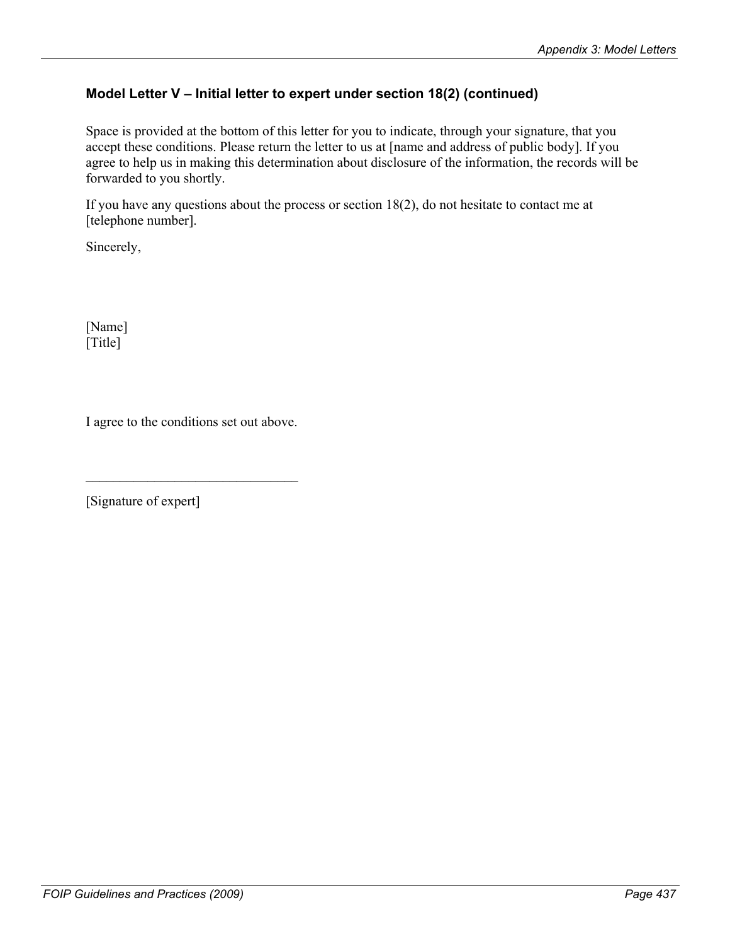# **Model Letter V – Initial letter to expert under section 18(2) (continued)**

Space is provided at the bottom of this letter for you to indicate, through your signature, that you accept these conditions. Please return the letter to us at [name and address of public body]. If you agree to help us in making this determination about disclosure of the information, the records will be forwarded to you shortly.

If you have any questions about the process or section 18(2), do not hesitate to contact me at [telephone number].

Sincerely,

[Name] [Title]

I agree to the conditions set out above.

 $\mathcal{L}_\text{max}$  , where  $\mathcal{L}_\text{max}$  and  $\mathcal{L}_\text{max}$ 

[Signature of expert]